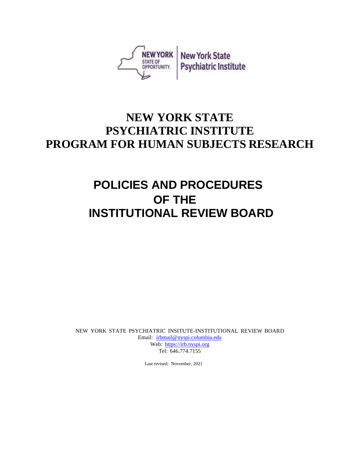

## **NEW YORK STATE PSYCHIATRIC INSTITUTE PROGRAM FOR HUMAN SUBJECTS RESEARCH**

# **POLICIES AND PROCEDURES OF THE INSTITUTIONAL REVIEW BOARD**

NEW YORK STATE PSYCHIATRIC INSITUTE-INSTITUTIONAL REVIEW BOARD Email: [irbmail@nyspi.columbia.edu](mailto:irbmail@nyspi.columbia.edu) Web: https://irb.nyspi.org Tel: 646.774.7155

Last revised: November, 2021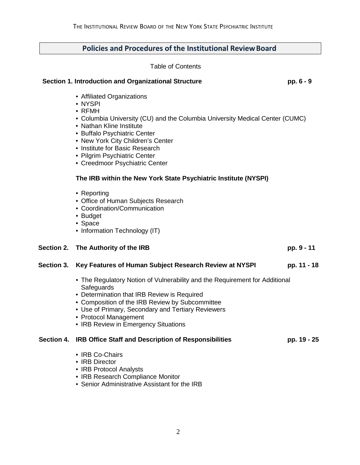### **Policies and Procedures of the Institutional ReviewBoard**

Table of Contents

|                   | Section 1. Introduction and Organizational Structure                                                                                                                                                                                                                                                                                                                                                            | pp. 6 - 9     |
|-------------------|-----------------------------------------------------------------------------------------------------------------------------------------------------------------------------------------------------------------------------------------------------------------------------------------------------------------------------------------------------------------------------------------------------------------|---------------|
|                   | • Affiliated Organizations<br>• NYSPI<br>$\bullet$ RFMH<br>• Columbia University (CU) and the Columbia University Medical Center (CUMC)<br>• Nathan Kline Institute<br>• Buffalo Psychiatric Center<br>• New York City Children's Center<br>• Institute for Basic Research<br>• Pilgrim Psychiatric Center<br>• Creedmoor Psychiatric Center<br>The IRB within the New York State Psychiatric Institute (NYSPI) |               |
|                   | • Reporting<br>• Office of Human Subjects Research<br>• Coordination/Communication<br>• Budget<br>• Space<br>• Information Technology (IT)                                                                                                                                                                                                                                                                      |               |
| Section 2.        | The Authority of the IRB                                                                                                                                                                                                                                                                                                                                                                                        |               |
|                   |                                                                                                                                                                                                                                                                                                                                                                                                                 | pp. 9 - 11    |
| Section 3.        | Key Features of Human Subject Research Review at NYSPI                                                                                                                                                                                                                                                                                                                                                          | pp. 11 - 18   |
|                   | • The Regulatory Notion of Vulnerability and the Requirement for Additional<br>Safeguards<br>• Determination that IRB Review is Required<br>• Composition of the IRB Review by Subcommittee<br>• Use of Primary, Secondary and Tertiary Reviewers<br>• Protocol Management<br>• IRB Review in Emergency Situations                                                                                              |               |
| <b>Section 4.</b> | <b>IRB Office Staff and Description of Responsibilities</b>                                                                                                                                                                                                                                                                                                                                                     | pp. $19 - 25$ |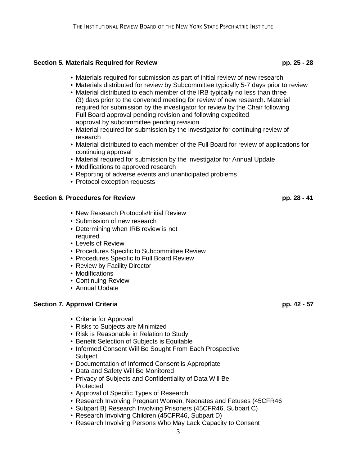#### **Section 5. Materials Required for Review pp. 25 - 28**

- Materials required for submission as part of initial review of new research
- Materials distributed for review by Subcommittee typically 5-7 days prior to review
- Material distributed to each member of the IRB typically no less than three (3) days prior to the convened meeting for review of new research. Material required for submission by the investigator for review by the Chair following Full Board approval pending revision and following expedited approval by subcommittee pending revision
- Material required for submission by the investigator for continuing review of research
- Material distributed to each member of the Full Board for review of applications for continuing approval
- Material required for submission by the investigator for Annual Update
- Modifications to approved research
- Reporting of adverse events and unanticipated problems
- Protocol exception requests

#### **Section 6. Procedures for Review pp. 28 - 41**

- New Research Protocols/Initial Review
- Submission of new research
- Determining when IRB review is not required
- Levels of Review
- Procedures Specific to Subcommittee Review
- Procedures Specific to Full Board Review
- Review by Facility Director
- Modifications
- Continuing Review
- Annual Update

#### **Section 7. Approval Criteria pp. 42 - 57**

- Criteria for Approval
- Risks to Subjects are Minimized
- Risk is Reasonable in Relation to Study
- Benefit Selection of Subjects is Equitable
- Informed Consent Will Be Sought From Each Prospective **Subject**
- Documentation of Informed Consent is Appropriate
- Data and Safety Will Be Monitored
- Privacy of Subjects and Confidentiality of Data Will Be Protected
- Approval of Specific Types of Research
- Research Involving Pregnant Women, Neonates and Fetuses (45CFR46
- Subpart B) Research Involving Prisoners (45CFR46, Subpart C)
- Research Involving Children (45CFR46, Subpart D)
- Research Involving Persons Who May Lack Capacity to Consent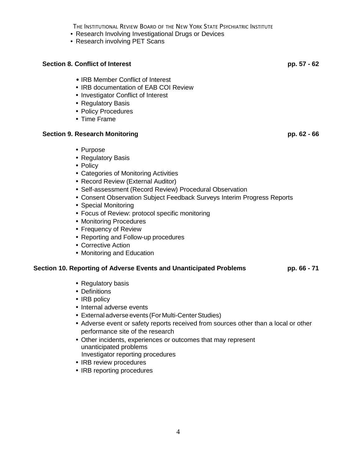- Research Involving Investigational Drugs or Devices
- Research involving PET Scans

#### **Section 8. Conflict of Interest pp. 57 - 62**

- IRB Member Conflict of Interest
- IRB documentation of EAB COI Review
- Investigator Conflict of Interest
- Regulatory Basis
- Policy Procedures
- Time Frame

#### **Section 9. Research Monitoring pp. 62 - 66**

- Purpose
- Regulatory Basis
- Policy
- Categories of Monitoring Activities
- Record Review (External Auditor)
- Self-assessment (Record Review) Procedural Observation
- Consent Observation Subject Feedback Surveys Interim Progress Reports
- Special Monitoring
- Focus of Review: protocol specific monitoring
- Monitoring Procedures
- Frequency of Review
- Reporting and Follow-up procedures
- Corrective Action
- Monitoring and Education

#### **Section 10. Reporting of Adverse Events and Unanticipated Problems pp. 66 - 71**

- Regulatory basis
- Definitions
- IRB policy
- Internal adverse events
- External adverse events (For Multi-Center Studies)
- Adverse event or safety reports received from sources other than a local or other performance site of the research
- Other incidents, experiences or outcomes that may represent unanticipated problems Investigator reporting procedures
- IRB review procedures
- IRB reporting procedures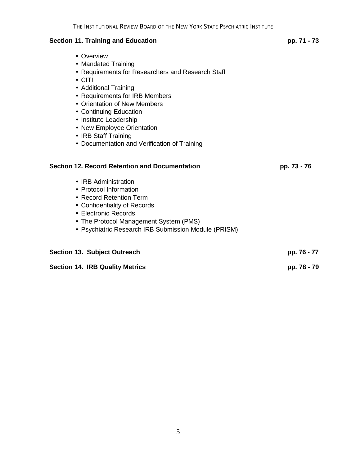#### **Section 11. Training and Education pp. 71 - 73**

|  |  | • Overview |
|--|--|------------|
|--|--|------------|

- Mandated Training
- Requirements for Researchers and Research Staff
- CITI
- Additional Training
- Requirements for IRB Members
- Orientation of New Members
- Continuing Education
- Institute Leadership
- New Employee Orientation
- IRB Staff Training
- Documentation and Verification of Training

## **Section 12. Record Retention and Documentation pp. 73 - 76**

- IRB Administration
- Protocol Information
- Record Retention Term
- Confidentiality of Records
- Electronic Records
- The Protocol Management System (PMS)
- Psychiatric Research IRB Submission Module (PRISM)

| Section 13. Subject Outreach           | pp. 76 - 77 |
|----------------------------------------|-------------|
| <b>Section 14. IRB Quality Metrics</b> | pp. 78 - 79 |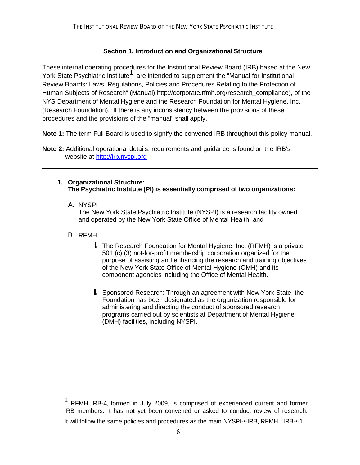#### **Section 1. Introduction and Organizational Structure**

These internal operating procedures for the Institutional Review Board (IRB) based at the New York State Psychiatric Institute<sup>1</sup> are intended to supplement the "Manual for Institutional Review Boards: Laws, Regulations, Policies and Procedures Relating to the Protection of Human Subjects of Research" (Manual) [http://corporate.rfmh.org/research\\_compliance\),](http://corporate.rfmh.org/research_compliance)) of the NYS Department of Mental Hygiene and the Research Foundation for Mental Hygiene, Inc. (Research Foundation). If there is any inconsistency between the provisions of these procedures and the provisions of the "manual" shall apply.

**Note 1:** The term Full Board is used to signify the convened IRB throughout this policy manual.

**Note 2:** Additional operational details, requirements and guidance is found on the IRB's website at [http://irb.nyspi.org](http://irb.nyspi.org/)

#### **1. Organizational Structure: The Psychiatric Institute (PI) is essentially comprised of two organizations:**

#### A. NYSPI

The New York State Psychiatric Institute (NYSPI) is a research facility owned and operated by the New York State Office of Mental Health; and

- B. RFMH
	- I. The Research Foundation for Mental Hygiene, Inc. (RFMH) is a private 501 (c) (3) not-for-profit membership corporation organized for the purpose of assisting and enhancing the research and training objectives of the New York State Office of Mental Hygiene (OMH) and its component agencies including the Office of Mental Health.
	- II. Sponsored Research: Through an agreement with New York State, the Foundation has been designated as the organization responsible for administering and directing the conduct of sponsored research programs carried out by scientists at Department of Mental Hygiene (DMH) facilities, including NYSPI.

<sup>&</sup>lt;sup>1</sup> RFMH IRB-4, formed in July 2009, is comprised of experienced current and former IRB members. It has not yet been convened or asked to conduct review of research. It will follow the same policies and procedures as the main NYSPI-•-IRB, RFMH IRB-•-1.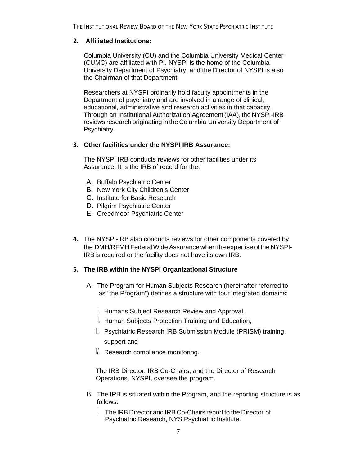#### **2. Affiliated Institutions:**

Columbia University (CU) and the Columbia University Medical Center (CUMC) are affiliated with PI. NYSPI is the home of the Columbia University Department of Psychiatry, and the Director of NYSPI is also the Chairman of that Department.

Researchers at NYSPI ordinarily hold faculty appointments in the Department of psychiatry and are involved in a range of clinical, educational, administrative and research activities in that capacity. Through an Institutional Authorization Agreement(IAA), the NYSPI-IRB reviews research originating in the Columbia University Department of Psychiatry.

#### **3. Other facilities under the NYSPI IRB Assurance:**

The NYSPI IRB conducts reviews for other facilities under its Assurance. It is the IRB of record for the:

- A. Buffalo Psychiatric Center
- B. New York City Children's Center
- C. Institute for Basic Research
- D. Pilgrim Psychiatric Center
- E. Creedmoor Psychiatric Center
- **4.** The NYSPI-IRB also conducts reviews for other components covered by the DMH/RFMH Federal Wide Assurance when the expertise of the NYSPI-IRBis required or the facility does not have its own IRB.

#### **5. The IRB within the NYSPI Organizational Structure**

- A. The Program for Human Subjects Research (hereinafter referred to as "the Program") defines a structure with four integrated domains:
	- I. Humans Subject Research Review and Approval,
	- II. Human Subjects Protection Training and Education,
	- III. Psychiatric Research IRB Submission Module (PRISM) training, support and
	- IV. Research compliance monitoring.

The IRB Director, IRB Co-Chairs, and the Director of Research Operations, NYSPI, oversee the program.

- B. The IRB is situated within the Program, and the reporting structure is as follows:
	- I. The IRB Director and IRB Co-Chairs report to the Director of Psychiatric Research, NYS Psychiatric Institute.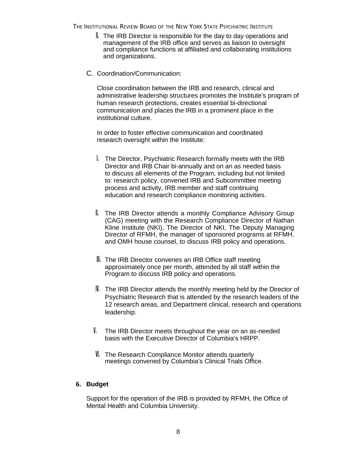- I. The IRB Director is responsible for the day to day operations and management of the IRB office and serves as liaison to oversight and compliance functions at affiliated and collaborating institutions and organizations.
- C. Coordination/Communication:

Close coordination between the IRB and research, clinical and administrative leadership structures promotes the Institute's program of human research protections, creates essential bi-directional communication and places the IRB in a prominent place in the institutional culture.

In order to foster effective communication and coordinated research oversight within the Institute:

- I. The Director, Psychiatric Research formally meets with the IRB Director and IRB Chair bi-annually and on an as needed basis to discuss all elements of the Program, including but not limited to: research policy, convened IRB and Subcommittee meeting process and activity, IRB member and staff continuing education and research compliance monitoring activities.
- II. The IRB Director attends a monthly Compliance Advisory Group (CAG) meeting with the Research Compliance Director of Nathan Kline Institute (NKI), The Director of NKI, The Deputy Managing Director of RFMH, the manager of sponsored programs at RFMH, and OMH house counsel, to discuss IRB policy and operations.
- III. The IRB Director convenes an IRB Office staff meeting approximately once per month, attended by all staff within the Program to discuss IRB policy and operations.
- IV. The IRB Director attends the monthly meeting held by the Director of Psychiatric Research that is attended by the research leaders of the 12 research areas, and Department clinical, research and operations leadership.
- V. The IRB Director meets throughout the year on an as-needed basis with the Executive Director of Columbia's HRPP.
- VI. The Research Compliance Monitor attends quarterly meetings convened by Columbia's Clinical Trials Office.

#### **6. Budget**

Support for the operation of the IRB is provided by RFMH, the Office of Mental Health and Columbia University.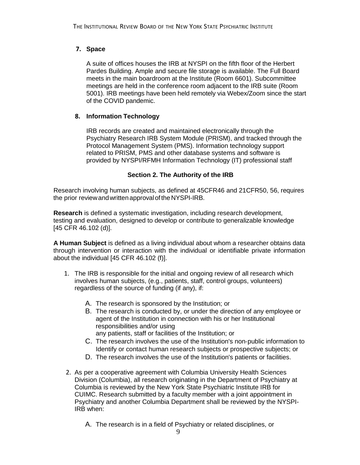#### **7. Space**

A suite of offices houses the IRB at NYSPI on the fifth floor of the Herbert Pardes Building. Ample and secure file storage is available. The Full Board meets in the main boardroom at the Institute (Room 6601). Subcommittee meetings are held in the conference room adjacent to the IRB suite (Room 5001). IRB meetings have been held remotely via Webex/Zoom since the start of the COVID pandemic.

#### **8. Information Technology**

IRB records are created and maintained electronically through the Psychiatry Research IRB System Module (PRISM), and tracked through the Protocol Management System (PMS). Information technology support related to PRISM, PMS and other database systems and software is provided by NYSPI/RFMH Information Technology (IT) professional staff

#### **Section 2. The Authority of the IRB**

Research involving human subjects, as defined at 45CFR46 and 21CFR50, 56, requires the prior reviewandwrittenapprovaloftheNYSPI-IRB.

**Research** is defined a systematic investigation, including research development, testing and evaluation, designed to develop or contribute to generalizable knowledge [45 CFR 46.102 (d)].

**A Human Subject** is defined as a living individual about whom a researcher obtains data through intervention or interaction with the individual or identifiable private information about the individual [45 CFR 46.102 (f)].

- 1. The IRB is responsible for the initial and ongoing review of all research which involves human subjects, (e.g., patients, staff, control groups, volunteers) regardless of the source of funding (if any), if:
	- A. The research is sponsored by the Institution; or
	- B. The research is conducted by, or under the direction of any employee or agent of the Institution in connection with his or her Institutional responsibilities and/or using any patients, staff or facilities of the Institution; or
	- C. The research involves the use of the Institution's non‐public information to Identify or contact human research subjects or prospective subjects; or
	- D. The research involves the use of the Institution's patients or facilities.
- 2. As per a cooperative agreement with Columbia University Health Sciences Division (Columbia), all research originating in the Department of Psychiatry at Columbia is reviewed by the New York State Psychiatric Institute IRB for CUIMC. Research submitted by a faculty member with a joint appointment in Psychiatry and another Columbia Department shall be reviewed by the NYSPI-IRB when:
	- A. The research is in a field of Psychiatry or related disciplines, or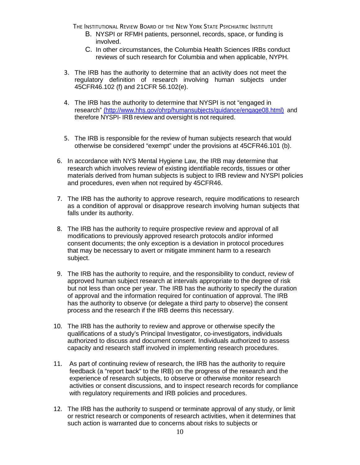- B. NYSPI or RFMH patients, personnel, records, space, or funding is involved.
- C. In other circumstances, the Columbia Health Sciences IRBs conduct reviews of such research for Columbia and when applicable, NYPH.
- 3. The IRB has the authority to determine that an activity does not meet the regulatory definition of research involving human subjects under 45CFR46.102 (f) and 21CFR 56.102(e).
- 4. The IRB has the authority to determine that NYSPI is not "engaged in research" (http://www.hhs.gov/ohrp/humansubjects/guidance/engage08.html) and therefore NYSPI- IRB review and oversight is not required.
- 5. The IRB is responsible for the review of human subjects research that would otherwise be considered "exempt" under the provisions at 45CFR46.101 (b).
- 6. In accordance with NYS Mental Hygiene Law, the IRB may determine that research which involves review of existing identifiable records, tissues or other materials derived from human subjects is subject to IRB review and NYSPI policies and procedures, even when not required by 45CFR46.
- 7. The IRB has the authority to approve research, require modifications to research as a condition of approval or disapprove research involving human subjects that falls under its authority.
- 8. The IRB has the authority to require prospective review and approval of all modifications to previously approved research protocols and/or informed consent documents; the only exception is a deviation in protocol procedures that may be necessary to avert or mitigate imminent harm to a research subject.
- 9. The IRB has the authority to require, and the responsibility to conduct, review of approved human subject research at intervals appropriate to the degree of risk but not less than once per year. The IRB has the authority to specify the duration of approval and the information required for continuation of approval. The IRB has the authority to observe (or delegate a third party to observe) the consent process and the research if the IRB deems this necessary.
- 10. The IRB has the authority to review and approve or otherwise specify the qualifications of a study's Principal Investigator, co-investigators, individuals authorized to discuss and document consent. Individuals authorized to assess capacity and research staff involved in implementing research procedures.
- 11. As part of continuing review of research, the IRB has the authority to require feedback (a "report back" to the IRB) on the progress of the research and the experience of research subjects, to observe or otherwise monitor research activities or consent discussions, and to inspect research records for compliance with regulatory requirements and IRB policies and procedures.
- 12. The IRB has the authority to suspend or terminate approval of any study, or limit or restrict research or components of research activities, when it determines that such action is warranted due to concerns about risks to subjects or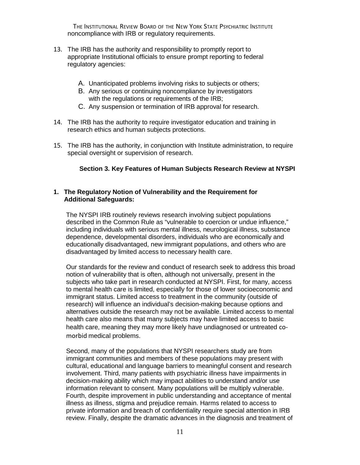THE INSTITUTIONAL REVIEW BOARD OF THE NEW YORK STATE PSYCHIATRIC INSTITUTE noncompliance with IRB or regulatory requirements.

- 13. The IRB has the authority and responsibility to promptly report to appropriate Institutional officials to ensure prompt reporting to federal regulatory agencies:
	- A. Unanticipated problems involving risks to subjects or others;
	- B. Any serious or continuing noncompliance by investigators with the regulations or requirements of the IRB;
	- C. Any suspension or termination of IRB approval for research.
- 14. The IRB has the authority to require investigator education and training in research ethics and human subjects protections.
- 15. The IRB has the authority, in conjunction with Institute administration, to require special oversight or supervision of research.

#### **Section 3. Key Features of Human Subjects Research Review at NYSPI**

#### **1. The Regulatory Notion of Vulnerability and the Requirement for Additional Safeguards:**

The NYSPI IRB routinely reviews research involving subject populations described in the Common Rule as "vulnerable to coercion or undue influence," including individuals with serious mental illness, neurological illness, substance dependence, developmental disorders, individuals who are economically and educationally disadvantaged, new immigrant populations, and others who are disadvantaged by limited access to necessary health care.

Our standards for the review and conduct of research seek to address this broad notion of vulnerability that is often, although not universally, present in the subjects who take part in research conducted at NYSPI. First, for many, access to mental health care is limited, especially for those of lower socioeconomic and immigrant status. Limited access to treatment in the community (outside of research) will influence an individual's decision-making because options and alternatives outside the research may not be available. Limited access to mental health care also means that many subjects may have limited access to basic health care, meaning they may more likely have undiagnosed or untreated comorbid medical problems.

Second, many of the populations that NYSPI researchers study are from immigrant communities and members of these populations may present with cultural, educational and language barriers to meaningful consent and research involvement. Third, many patients with psychiatric illness have impairments in decision-making ability which may impact abilities to understand and/or use information relevant to consent. Many populations will be multiply vulnerable. Fourth, despite improvement in public understanding and acceptance of mental illness as illness, stigma and prejudice remain. Harms related to access to private information and breach of confidentiality require special attention in IRB review. Finally, despite the dramatic advances in the diagnosis and treatment of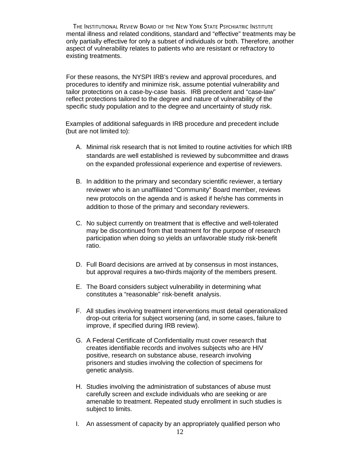THE INSTITUTIONAL REVIEW BOARD OF THE NEW YORK STATE PSYCHIATRIC INSTITUTE mental illness and related conditions, standard and "effective" treatments may be only partially effective for only a subset of individuals or both. Therefore, another aspect of vulnerability relates to patients who are resistant or refractory to existing treatments.

For these reasons, the NYSPI IRB's review and approval procedures, and procedures to identify and minimize risk, assume potential vulnerability and tailor protections on a case-by-case basis. IRB precedent and "case-law" reflect protections tailored to the degree and nature of vulnerability of the specific study population and to the degree and uncertainty of study risk.

Examples of additional safeguards in IRB procedure and precedent include (but are not limited to):

- A. Minimal risk research that is not limited to routine activities for which IRB standards are well established is reviewed by subcommittee and draws on the expanded professional experience and expertise of reviewers.
- B. In addition to the primary and secondary scientific reviewer, a tertiary reviewer who is an unaffiliated "Community" Board member, reviews new protocols on the agenda and is asked if he/she has comments in addition to those of the primary and secondary reviewers.
- C. No subject currently on treatment that is effective and well-tolerated may be discontinued from that treatment for the purpose of research participation when doing so yields an unfavorable study risk-benefit ratio.
- D. Full Board decisions are arrived at by consensus in most instances, but approval requires a two-thirds majority of the members present.
- E. The Board considers subject vulnerability in determining what constitutes a "reasonable" risk-benefit analysis.
- F. All studies involving treatment interventions must detail operationalized drop-out criteria for subject worsening (and, in some cases, failure to improve, if specified during IRB review).
- G. A Federal Certificate of Confidentiality must cover research that creates identifiable records and involves subjects who are HIV positive, research on substance abuse, research involving prisoners and studies involving the collection of specimens for genetic analysis.
- H. Studies involving the administration of substances of abuse must carefully screen and exclude individuals who are seeking or are amenable to treatment. Repeated study enrollment in such studies is subject to limits.
- I. An assessment of capacity by an appropriately qualified person who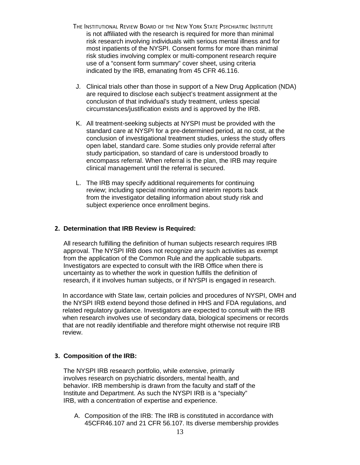- THE INSTITUTIONAL REVIEW BOARD OF THE NEW YORK STATE PSYCHIATRIC INSTITUTE is not affiliated with the research is required for more than minimal risk research involving individuals with serious mental illness and for most inpatients of the NYSPI. Consent forms for more than minimal risk studies involving complex or multi-component research require use of a "consent form summary" cover sheet, using criteria indicated by the IRB, emanating from 45 CFR 46.116.
- J. Clinical trials other than those in support of a New Drug Application (NDA) are required to disclose each subject's treatment assignment at the conclusion of that individual's study treatment, unless special circumstances/justification exists and is approved by the IRB.
- K. All treatment-seeking subjects at NYSPI must be provided with the standard care at NYSPI for a pre-determined period, at no cost, at the conclusion of investigational treatment studies, unless the study offers open label, standard care. Some studies only provide referral after study participation, so standard of care is understood broadly to encompass referral. When referral is the plan, the IRB may require clinical management until the referral is secured.
- L. The IRB may specify additional requirements for continuing review; including special monitoring and interim reports back from the investigator detailing information about study risk and subject experience once enrollment begins.

#### **2. Determination that IRB Review is Required:**

All research fulfilling the definition of human subjects research requires IRB approval. The NYSPI IRB does not recognize any such activities as exempt from the application of the Common Rule and the applicable subparts. Investigators are expected to consult with the IRB Office when there is uncertainty as to whether the work in question fulfills the definition of research, if it involves human subjects, or if NYSPI is engaged in research.

In accordance with State law, certain policies and procedures of NYSPI, OMH and the NYSPI IRB extend beyond those defined in HHS and FDA regulations, and related regulatory guidance. Investigators are expected to consult with the IRB when research involves use of secondary data, biological specimens or records that are not readily identifiable and therefore might otherwise not require IRB review.

#### **3. Composition of the IRB:**

The NYSPI IRB research portfolio, while extensive, primarily involves research on psychiatric disorders, mental health, and behavior. IRB membership is drawn from the faculty and staff of the Institute and Department. As such the NYSPI IRB is a "specialty" IRB, with a concentration of expertise and experience.

A. Composition of the IRB: The IRB is constituted in accordance with 45CFR46.107 and 21 CFR 56.107. Its diverse membership provides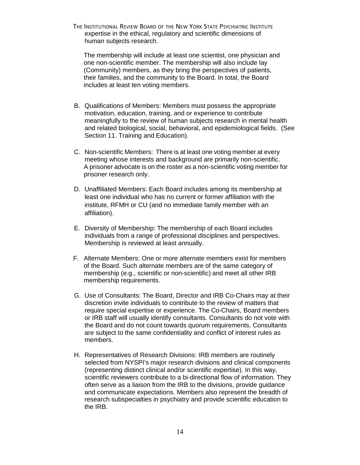THE INSTITUTIONAL REVIEW BOARD OF THE NEW YORK STATE PSYCHIATRIC INSTITUTE expertise in the ethical, regulatory and scientific dimensions of human subjects research.

The membership will include at least one scientist, one physician and one non-scientific member. The membership will also include lay (Community) members, as they bring the perspectives of patients, their families, and the community to the Board. In total, the Board includes at least ten voting members.

- B. Qualifications of Members: Members must possess the appropriate motivation, education, training, and or experience to contribute meaningfully to the review of human subjects research in mental health and related biological, social, behavioral, and epidemiological fields. (See Section 11. Training and Education).
- C. Non-scientific Members: There is at least one voting member at every meeting whose interests and background are primarily non-scientific. A prisoner advocate is on the roster as a non-scientific voting member for prisoner research only.
- D. Unaffiliated Members: Each Board includes among its membership at least one individual who has no current or former affiliation with the institute, RFMH or CU (and no immediate family member with an affiliation).
- E. Diversity of Membership: The membership of each Board includes individuals from a range of professional disciplines and perspectives. Membership is reviewed at least annually.
- F. Alternate Members: One or more alternate members exist for members of the Board. Such alternate members are of the same category of membership (e.g., scientific or non-scientific) and meet all other IRB membership requirements.
- G. Use of Consultants: The Board, Director and IRB Co-Chairs may at their discretion invite individuals to contribute to the review of matters that require special expertise or experience. The Co-Chairs, Board members or IRB staff will usually identify consultants. Consultants do not vote with the Board and do not count towards quorum requirements. Consultants are subject to the same confidentiality and conflict of interest rules as members.
- H. Representatives of Research Divisions: IRB members are routinely selected from NYSPI's major research divisions and clinical components (representing distinct clinical and/or scientific expertise). In this way, scientific reviewers contribute to a bi-directional flow of information. They often serve as a liaison from the IRB to the divisions, provide guidance and communicate expectations. Members also represent the breadth of research subspecialties in psychiatry and provide scientific education to the IRB.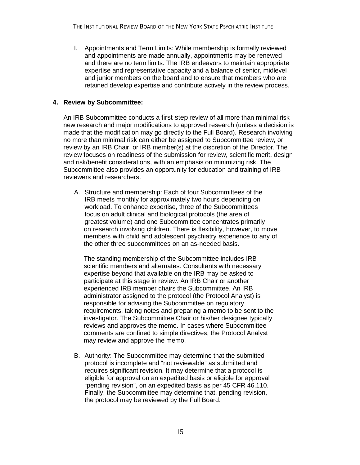I. Appointments and Term Limits: While membership is formally reviewed and appointments are made annually, appointments may be renewed and there are no term limits. The IRB endeavors to maintain appropriate expertise and representative capacity and a balance of senior, midlevel and junior members on the board and to ensure that members who are retained develop expertise and contribute actively in the review process.

#### **4. Review by Subcommittee:**

An IRB Subcommittee conducts a first step review of all more than minimal risk new research and major modifications to approved research (unless a decision is made that the modification may go directly to the Full Board). Research involving no more than minimal risk can either be assigned to Subcommittee review, or review by an IRB Chair, or IRB member(s) at the discretion of the Director. The review focuses on readiness of the submission for review, scientific merit, design and risk/benefit considerations, with an emphasis on minimizing risk. The Subcommittee also provides an opportunity for education and training of IRB reviewers and researchers.

A. Structure and membership: Each of four Subcommittees of the IRB meets monthly for approximately two hours depending on workload. To enhance expertise, three of the Subcommittees focus on adult clinical and biological protocols (the area of greatest volume) and one Subcommittee concentrates primarily on research involving children. There is flexibility, however, to move members with child and adolescent psychiatry experience to any of the other three subcommittees on an as-needed basis.

The standing membership of the Subcommittee includes IRB scientific members and alternates. Consultants with necessary expertise beyond that available on the IRB may be asked to participate at this stage in review. An IRB Chair or another experienced IRB member chairs the Subcommittee. An IRB administrator assigned to the protocol (the Protocol Analyst) is responsible for advising the Subcommittee on regulatory requirements, taking notes and preparing a memo to be sent to the investigator. The Subcommittee Chair or his/her designee typically reviews and approves the memo. In cases where Subcommittee comments are confined to simple directives, the Protocol Analyst may review and approve the memo.

B. Authority: The Subcommittee may determine that the submitted protocol is incomplete and "not reviewable" as submitted and requires significant revision. It may determine that a protocol is eligible for approval on an expedited basis or eligible for approval "pending revision", on an expedited basis as per 45 CFR 46.110. Finally, the Subcommittee may determine that, pending revision, the protocol may be reviewed by the Full Board.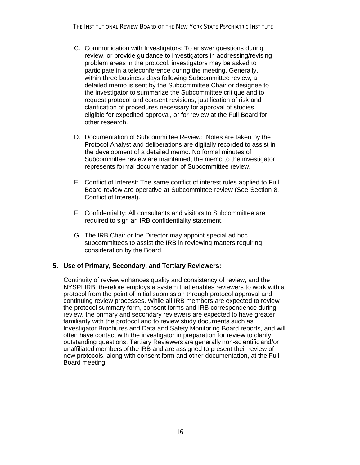- C. Communication with Investigators: To answer questions during review, or provide guidance to investigators in addressing/revising problem areas in the protocol, investigators may be asked to participate in a teleconference during the meeting. Generally, within three business days following Subcommittee review, a detailed memo is sent by the Subcommittee Chair or designee to the investigator to summarize the Subcommittee critique and to request protocol and consent revisions, justification of risk and clarification of procedures necessary for approval of studies eligible for expedited approval, or for review at the Full Board for other research.
- D. Documentation of Subcommittee Review: Notes are taken by the Protocol Analyst and deliberations are digitally recorded to assist in the development of a detailed memo. No formal minutes of Subcommittee review are maintained; the memo to the investigator represents formal documentation of Subcommittee review.
- E. Conflict of Interest: The same conflict of interest rules applied to Full Board review are operative at Subcommittee review (See Section 8. Conflict of Interest).
- F. Confidentiality: All consultants and visitors to Subcommittee are required to sign an IRB confidentiality statement.
- G. The IRB Chair or the Director may appoint special ad hoc subcommittees to assist the IRB in reviewing matters requiring consideration by the Board.

#### **5. Use of Primary, Secondary, and Tertiary Reviewers:**

Continuity of review enhances quality and consistency of review, and the NYSPI IRB therefore employs a system that enables reviewers to work with a protocol from the point of initial submission through protocol approval and continuing review processes. While all IRB members are expected to review the protocol summary form, consent forms and IRB correspondence during review, the primary and secondary reviewers are expected to have greater familiarity with the protocol and to review study documents such as Investigator Brochures and Data and Safety Monitoring Board reports, and will often have contact with the investigator in preparation for review to clarify outstanding questions. Tertiary Reviewers are generally non-scientific and/or unaffiliated members of the IRB and are assigned to present their review of new protocols, along with consent form and other documentation, at the Full Board meeting.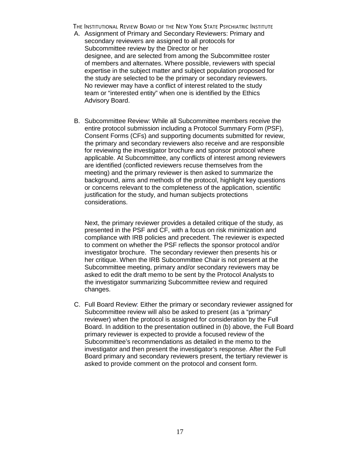- A. Assignment of Primary and Secondary Reviewers: Primary and secondary reviewers are assigned to all protocols for Subcommittee review by the Director or her designee, and are selected from among the Subcommittee roster of members and alternates. Where possible, reviewers with special expertise in the subject matter and subject population proposed for the study are selected to be the primary or secondary reviewers. No reviewer may have a conflict of interest related to the study team or "interested entity" when one is identified by the Ethics Advisory Board.
- B. Subcommittee Review: While all Subcommittee members receive the entire protocol submission including a Protocol Summary Form (PSF), Consent Forms (CFs) and supporting documents submitted for review, the primary and secondary reviewers also receive and are responsible for reviewing the investigator brochure and sponsor protocol where applicable. At Subcommittee, any conflicts of interest among reviewers are identified (conflicted reviewers recuse themselves from the meeting) and the primary reviewer is then asked to summarize the background, aims and methods of the protocol, highlight key questions or concerns relevant to the completeness of the application, scientific justification for the study, and human subjects protections considerations.

Next, the primary reviewer provides a detailed critique of the study, as presented in the PSF and CF, with a focus on risk minimization and compliance with IRB policies and precedent. The reviewer is expected to comment on whether the PSF reflects the sponsor protocol and/or investigator brochure. The secondary reviewer then presents his or her critique. When the IRB Subcommittee Chair is not present at the Subcommittee meeting, primary and/or secondary reviewers may be asked to edit the draft memo to be sent by the Protocol Analysts to the investigator summarizing Subcommittee review and required changes.

C. Full Board Review: Either the primary or secondary reviewer assigned for Subcommittee review will also be asked to present (as a "primary" reviewer) when the protocol is assigned for consideration by the Full Board. In addition to the presentation outlined in (b) above, the Full Board primary reviewer is expected to provide a focused review of the Subcommittee's recommendations as detailed in the memo to the investigator and then present the investigator's response. After the Full Board primary and secondary reviewers present, the tertiary reviewer is asked to provide comment on the protocol and consent form.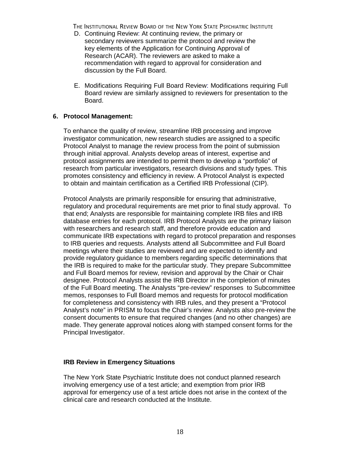- D. Continuing Review: At continuing review, the primary or secondary reviewers summarize the protocol and review the key elements of the Application for Continuing Approval of Research (ACAR). The reviewers are asked to make a recommendation with regard to approval for consideration and discussion by the Full Board.
- E. Modifications Requiring Full Board Review: Modifications requiring Full Board review are similarly assigned to reviewers for presentation to the Board.

#### **6. Protocol Management:**

To enhance the quality of review, streamline IRB processing and improve investigator communication, new research studies are assigned to a specific Protocol Analyst to manage the review process from the point of submission through initial approval. Analysts develop areas of interest, expertise and protocol assignments are intended to permit them to develop a "portfolio" of research from particular investigators, research divisions and study types. This promotes consistency and efficiency in review. A Protocol Analyst is expected to obtain and maintain certification as a Certified IRB Professional (CIP).

Protocol Analysts are primarily responsible for ensuring that administrative, regulatory and procedural requirements are met prior to final study approval. To that end; Analysts are responsible for maintaining complete IRB files and IRB database entries for each protocol. IRB Protocol Analysts are the primary liaison with researchers and research staff, and therefore provide education and communicate IRB expectations with regard to protocol preparation and responses to IRB queries and requests. Analysts attend all Subcommittee and Full Board meetings where their studies are reviewed and are expected to identify and provide regulatory guidance to members regarding specific determinations that the IRB is required to make for the particular study. They prepare Subcommittee and Full Board memos for review, revision and approval by the Chair or Chair designee. Protocol Analysts assist the IRB Director in the completion of minutes of the Full Board meeting. The Analysts "pre-review" responses to Subcommittee memos, responses to Full Board memos and requests for protocol modification for completeness and consistency with IRB rules, and they present a "Protocol Analyst's note" in PRISM to focus the Chair's review. Analysts also pre-review the consent documents to ensure that required changes (and no other changes) are made. They generate approval notices along with stamped consent forms for the Principal Investigator.

#### **IRB Review in Emergency Situations**

The New York State Psychiatric Institute does not conduct planned research involving emergency use of a test article; and exemption from prior IRB approval for emergency use of a test article does not arise in the context of the clinical care and research conducted at the Institute.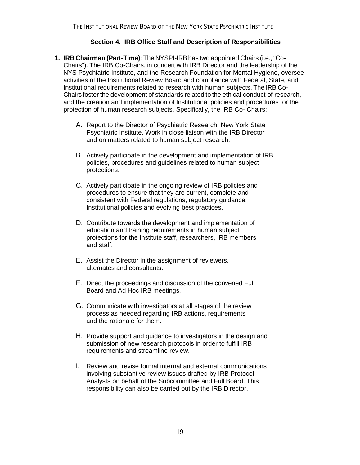#### **Section 4. IRB Office Staff and Description of Responsibilities**

- **1. IRB Chairman (Part-Time)**: The NYSPI-IRBhas two appointed Chairs (i.e., "Co-Chairs"). The IRB Co-Chairs, in concert with IRB Director and the leadership of the NYS Psychiatric Institute, and the Research Foundation for Mental Hygiene, oversee activities of the Institutional Review Board and compliance with Federal, State, and Institutional requirements related to research with human subjects. The IRB Co-Chairs foster the development of standards related to the ethical conduct of research, and the creation and implementation of Institutional policies and procedures for the protection of human research subjects. Specifically, the IRB Co- Chairs:
	- A. Report to the Director of Psychiatric Research, New York State Psychiatric Institute. Work in close liaison with the IRB Director and on matters related to human subject research.
	- B. Actively participate in the development and implementation of IRB policies, procedures and guidelines related to human subject protections.
	- C. Actively participate in the ongoing review of IRB policies and procedures to ensure that they are current, complete and consistent with Federal regulations, regulatory guidance, Institutional policies and evolving best practices.
	- D. Contribute towards the development and implementation of education and training requirements in human subject protections for the Institute staff, researchers, IRB members and staff.
	- E. Assist the Director in the assignment of reviewers, alternates and consultants.
	- F. Direct the proceedings and discussion of the convened Full Board and Ad Hoc IRB meetings.
	- G. Communicate with investigators at all stages of the review process as needed regarding IRB actions, requirements and the rationale for them.
	- H. Provide support and guidance to investigators in the design and submission of new research protocols in order to fulfill IRB requirements and streamline review.
	- I. Review and revise formal internal and external communications involving substantive review issues drafted by IRB Protocol Analysts on behalf of the Subcommittee and Full Board. This responsibility can also be carried out by the IRB Director.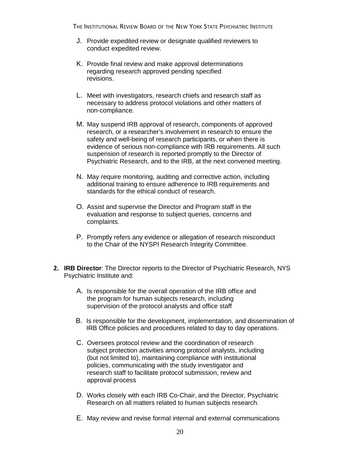- J. Provide expedited review or designate qualified reviewers to conduct expedited review.
- K. Provide final review and make approval determinations regarding research approved pending specified revisions.
- L. Meet with investigators, research chiefs and research staff as necessary to address protocol violations and other matters of non-compliance.
- M. May suspend IRB approval of research, components of approved research, or a researcher's involvement in research to ensure the safety and well-being of research participants, or when there is evidence of serious non-compliance with IRB requirements. All such suspension of research is reported promptly to the Director of Psychiatric Research, and to the IRB, at the next convened meeting.
- N. May require monitoring, auditing and corrective action, including additional training to ensure adherence to IRB requirements and standards for the ethical conduct of research.
- O. Assist and supervise the Director and Program staff in the evaluation and response to subject queries, concerns and complaints.
- P. Promptly refers any evidence or allegation of research misconduct to the Chair of the NYSPI Research Integrity Committee.
- **2. IRB Director**: The Director reports to the Director of Psychiatric Research, NYS Psychiatric Institute and:
	- A. Is responsible for the overall operation of the IRB office and the program for human subjects research, including supervision of the protocol analysts and office staff
	- B. Is responsible for the development, implementation, and dissemination of IRB Office policies and procedures related to day to day operations.
	- C. Oversees protocol review and the coordination of research subject protection activities among protocol analysts, including (but not limited to), maintaining compliance with institutional policies, communicating with the study investigator and research staff to facilitate protocol submission, review and approval process
	- D. Works closely with each IRB Co-Chair, and the Director, Psychiatric Research on all matters related to human subjects research.
	- E. May review and revise formal internal and external communications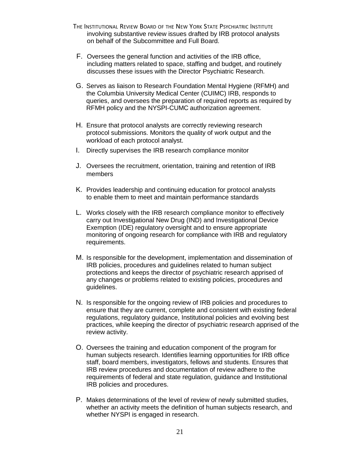- THE INSTITUTIONAL REVIEW BOARD OF THE NEW YORK STATE PSYCHIATRIC INSTITUTE involving substantive review issues drafted by IRB protocol analysts on behalf of the Subcommittee and Full Board.
- F. Oversees the general function and activities of the IRB office, including matters related to space, staffing and budget, and routinely discusses these issues with the Director Psychiatric Research.
- G. Serves as liaison to Research Foundation Mental Hygiene (RFMH) and the Columbia University Medical Center (CUIMC) IRB, responds to queries, and oversees the preparation of required reports as required by RFMH policy and the NYSPI-CUMC authorization agreement.
- H. Ensure that protocol analysts are correctly reviewing research protocol submissions. Monitors the quality of work output and the workload of each protocol analyst.
- I. Directly supervises the IRB research compliance monitor
- J. Oversees the recruitment, orientation, training and retention of IRB members
- K. Provides leadership and continuing education for protocol analysts to enable them to meet and maintain performance standards
- L. Works closely with the IRB research compliance monitor to effectively carry out Investigational New Drug (IND) and Investigational Device Exemption (IDE) regulatory oversight and to ensure appropriate monitoring of ongoing research for compliance with IRB and regulatory requirements.
- M. Is responsible for the development, implementation and dissemination of IRB policies, procedures and guidelines related to human subject protections and keeps the director of psychiatric research apprised of any changes or problems related to existing policies, procedures and guidelines.
- N. Is responsible for the ongoing review of IRB policies and procedures to ensure that they are current, complete and consistent with existing federal regulations, regulatory guidance, Institutional policies and evolving best practices, while keeping the director of psychiatric research apprised of the review activity.
- O. Oversees the training and education component of the program for human subjects research. Identifies learning opportunities for IRB office staff, board members, investigators, fellows and students. Ensures that IRB review procedures and documentation of review adhere to the requirements of federal and state regulation, guidance and Institutional IRB policies and procedures.
- P. Makes determinations of the level of review of newly submitted studies, whether an activity meets the definition of human subjects research, and whether NYSPI is engaged in research.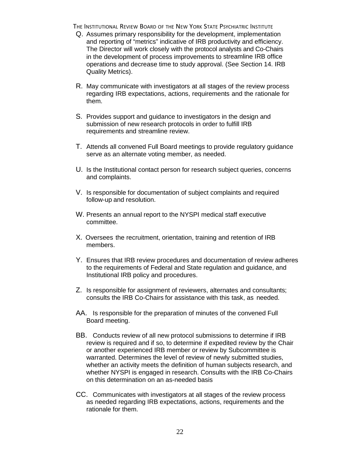- Q. Assumes primary responsibility for the development, implementation and reporting of "metrics" indicative of IRB productivity and efficiency. The Director will work closely with the protocol analysts and Co-Chairs in the development of process improvements to streamline IRB office operations and decrease time to study approval. (See Section 14. IRB Quality Metrics).
- R. May communicate with investigators at all stages of the review process regarding IRB expectations, actions, requirements and the rationale for them.
- S. Provides support and guidance to investigators in the design and submission of new research protocols in order to fulfill IRB requirements and streamline review.
- T. Attends all convened Full Board meetings to provide regulatory guidance serve as an alternate voting member, as needed.
- U. Is the Institutional contact person for research subject queries, concerns and complaints.
- V. Is responsible for documentation of subject complaints and required follow-up and resolution.
- W. Presents an annual report to the NYSPI medical staff executive committee.
- X. Oversees the recruitment, orientation, training and retention of IRB members.
- Y. Ensures that IRB review procedures and documentation of review adheres to the requirements of Federal and State regulation and guidance, and Institutional IRB policy and procedures.
- Z. Is responsible for assignment of reviewers, alternates and consultants; consults the IRB Co-Chairs for assistance with this task, as needed.
- AA. Is responsible for the preparation of minutes of the convened Full Board meeting.
- BB. Conducts review of all new protocol submissions to determine if IRB review is required and if so, to determine if expedited review by the Chair or another experienced IRB member or review by Subcommittee is warranted. Determines the level of review of newly submitted studies, whether an activity meets the definition of human subjects research, and whether NYSPI is engaged in research. Consults with the IRB Co-Chairs on this determination on an as-needed basis
- CC. Communicates with investigators at all stages of the review process as needed regarding IRB expectations, actions, requirements and the rationale for them.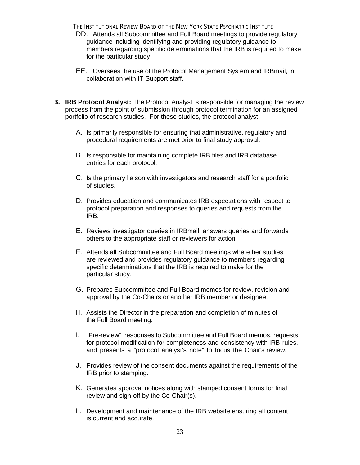- DD. Attends all Subcommittee and Full Board meetings to provide regulatory guidance including identifying and providing regulatory guidance to members regarding specific determinations that the IRB is required to make for the particular study
- EE. Oversees the use of the Protocol Management System and IRBmail, in collaboration with IT Support staff.
- **3. IRB Protocol Analyst:** The Protocol Analyst is responsible for managing the review process from the point of submission through protocol termination for an assigned portfolio of research studies. For these studies, the protocol analyst:
	- A. Is primarily responsible for ensuring that administrative, regulatory and procedural requirements are met prior to final study approval.
	- B. Is responsible for maintaining complete IRB files and IRB database entries for each protocol.
	- C. Is the primary liaison with investigators and research staff for a portfolio of studies.
	- D. Provides education and communicates IRB expectations with respect to protocol preparation and responses to queries and requests from the IRB.
	- E. Reviews investigator queries in IRBmail, answers queries and forwards others to the appropriate staff or reviewers for action.
	- F. Attends all Subcommittee and Full Board meetings where her studies are reviewed and provides regulatory guidance to members regarding specific determinations that the IRB is required to make for the particular study.
	- G. Prepares Subcommittee and Full Board memos for review, revision and approval by the Co-Chairs or another IRB member or designee.
	- H. Assists the Director in the preparation and completion of minutes of the Full Board meeting.
	- I. "Pre-review" responses to Subcommittee and Full Board memos, requests for protocol modification for completeness and consistency with IRB rules, and presents a "protocol analyst's note" to focus the Chair's review.
	- J. Provides review of the consent documents against the requirements of the IRB prior to stamping.
	- K. Generates approval notices along with stamped consent forms for final review and sign-off by the Co-Chair(s).
	- L. Development and maintenance of the IRB website ensuring all content is current and accurate.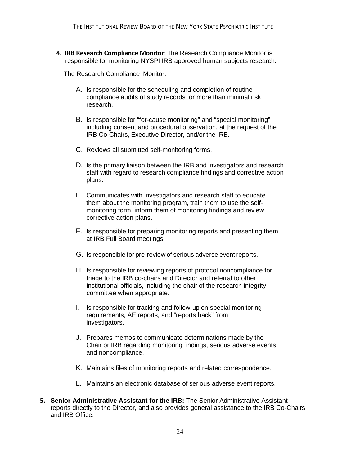**4. IRB Research Compliance Monitor**: The Research Compliance Monitor is responsible for monitoring NYSPI IRB approved human subjects research.

The Research Compliance Monitor:

- A. Is responsible for the scheduling and completion of routine compliance audits of study records for more than minimal risk research.
- B. Is responsible for "for-cause monitoring" and "special monitoring" including consent and procedural observation, at the request of the IRB Co-Chairs, Executive Director, and/or the IRB.
- C. Reviews all submitted self-monitoring forms.
- D. Is the primary liaison between the IRB and investigators and research staff with regard to research compliance findings and corrective action plans.
- E. Communicates with investigators and research staff to educate them about the monitoring program, train them to use the selfmonitoring form, inform them of monitoring findings and review corrective action plans.
- F. Is responsible for preparing monitoring reports and presenting them at IRB Full Board meetings.
- G. Is responsible for pre-review of serious adverse event reports.
- H. Is responsible for reviewing reports of protocol noncompliance for triage to the IRB co-chairs and Director and referral to other institutional officials, including the chair of the research integrity committee when appropriate.
- I. Is responsible for tracking and follow-up on special monitoring requirements, AE reports, and "reports back" from investigators.
- J. Prepares memos to communicate determinations made by the Chair or IRB regarding monitoring findings, serious adverse events and noncompliance.
- K. Maintains files of monitoring reports and related correspondence.
- L. Maintains an electronic database of serious adverse event reports.
- **5. Senior Administrative Assistant for the IRB:** The Senior Administrative Assistant reports directly to the Director, and also provides general assistance to the IRB Co-Chairs and IRB Office.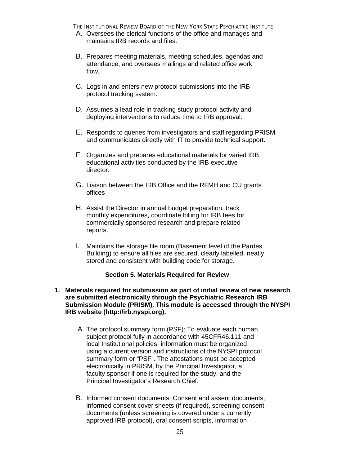- A. Oversees the clerical functions of the office and manages and maintains IRB records and files.
- B. Prepares meeting materials, meeting schedules, agendas and attendance, and oversees mailings and related office work flow.
- C. Logs in and enters new protocol submissions into the IRB protocol tracking system.
- D. Assumes a lead role in tracking study protocol activity and deploying interventions to reduce time to IRB approval.
- E. Responds to queries from investigators and staff regarding PRISM and communicates directly with IT to provide technical support.
- F. Organizes and prepares educational materials for varied IRB educational activities conducted by the IRB executive director.
- G. Liaison between the IRB Office and the RFMH and CU grants offices
- H. Assist the Director in annual budget preparation, track monthly expenditures, coordinate billing for IRB fees for commercially sponsored research and prepare related reports.
- I. Maintains the storage file room (Basement level of the Pardes Building) to ensure all files are secured, clearly labelled, neatly stored and consistent with building code for storage.

#### **Section 5. Materials Required for Review**

#### **1. Materials required for submission as part of initial review of new research are submitted electronically through the Psychiatric Research IRB Submission Module (PRISM). This module is accessed through the NYSPI IRB website (http://irb.nyspi.org).**

- A. The protocol summary form (PSF): To evaluate each human subject protocol fully in accordance with 45CFR46.111 and local Institutional policies, information must be organized using a current version and instructions of the NYSPI protocol summary form or "PSF". The attestations must be accepted electronically in PRISM, by the Principal Investigator, a faculty sponsor if one is required for the study, and the Principal Investigator's Research Chief.
- B. Informed consent documents: Consent and assent documents, informed consent cover sheets (if required), screening consent documents (unless screening is covered under a currently approved IRB protocol), oral consent scripts, information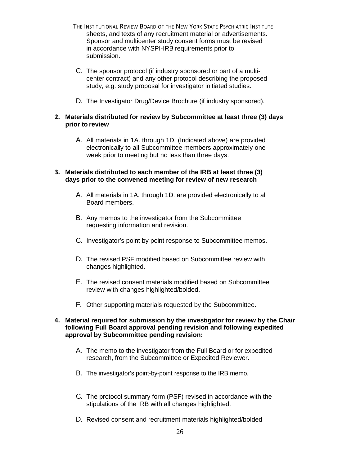- THE INSTITUTIONAL REVIEW BOARD OF THE NEW YORK STATE PSYCHIATRIC INSTITUTE sheets, and texts of any recruitment material or advertisements. Sponsor and multicenter study consent forms must be revised in accordance with NYSPI-IRB requirements prior to submission.
- C. The sponsor protocol (if industry sponsored or part of a multicenter contract) and any other protocol describing the proposed study, e.g. study proposal for investigator initiated studies.
- D. The Investigator Drug/Device Brochure (if industry sponsored).

#### **2. Materials distributed for review by Subcommittee at least three (3) days prior to review**

A. All materials in 1A. through 1D. (Indicated above) are provided electronically to all Subcommittee members approximately one week prior to meeting but no less than three days.

#### **3. Materials distributed to each member of the IRB at least three (3) days prior to the convened meeting for review of new research**

- A. All materials in 1A. through 1D. are provided electronically to all Board members.
- B. Any memos to the investigator from the Subcommittee requesting information and revision.
- C. Investigator's point by point response to Subcommittee memos.
- D. The revised PSF modified based on Subcommittee review with changes highlighted.
- E. The revised consent materials modified based on Subcommittee review with changes highlighted/bolded.
- F. Other supporting materials requested by the Subcommittee.

#### **4. Material required for submission by the investigator for review by the Chair following Full Board approval pending revision and following expedited approval by Subcommittee pending revision:**

- A. The memo to the investigator from the Full Board or for expedited research, from the Subcommittee or Expedited Reviewer.
- B. The investigator's point-by-point response to the IRB memo.
- C. The protocol summary form (PSF) revised in accordance with the stipulations of the IRB with all changes highlighted.
- D. Revised consent and recruitment materials highlighted/bolded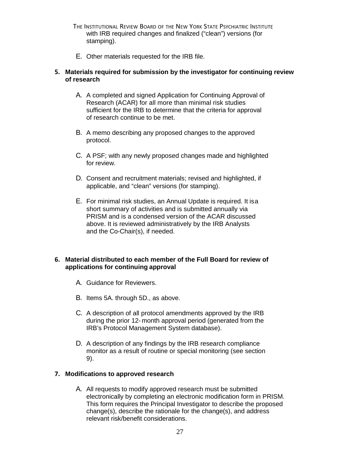- THE INSTITUTIONAL REVIEW BOARD OF THE NEW YORK STATE PSYCHIATRIC INSTITUTE with IRB required changes and finalized ("clean") versions (for stamping).
- E. Other materials requested for the IRB file.

#### **5. Materials required for submission by the investigator for continuing review of research**

- A. A completed and signed Application for Continuing Approval of Research (ACAR) for all more than minimal risk studies sufficient for the IRB to determine that the criteria for approval of research continue to be met.
- B. A memo describing any proposed changes to the approved protocol.
- C. A PSF; with any newly proposed changes made and highlighted for review.
- D. Consent and recruitment materials; revised and highlighted, if applicable, and "clean" versions (for stamping).
- E. For minimal risk studies, an Annual Update is required. It isa short summary of activities and is submitted annually via PRISM and is a condensed version of the ACAR discussed above. It is reviewed administratively by the IRB Analysts and the Co-Chair(s), if needed.

#### **6. Material distributed to each member of the Full Board for review of applications for continuing approval**

- A. Guidance for Reviewers.
- B. Items 5A. through 5D., as above.
- C. A description of all protocol amendments approved by the IRB during the prior 12- month approval period (generated from the IRB's Protocol Management System database).
- D. A description of any findings by the IRB research compliance monitor as a result of routine or special monitoring (see section 9).

#### **7. Modifications to approved research**

A. All requests to modify approved research must be submitted electronically by completing an electronic modification form in PRISM. This form requires the Principal Investigator to describe the proposed change(s), describe the rationale for the change(s), and address relevant risk/benefit considerations.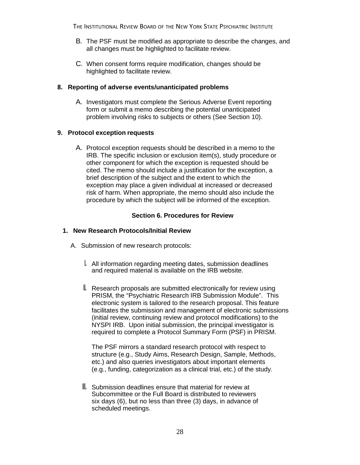- B. The PSF must be modified as appropriate to describe the changes, and all changes must be highlighted to facilitate review.
- C. When consent forms require modification, changes should be highlighted to facilitate review.

#### **8. Reporting of adverse events/unanticipated problems**

A. Investigators must complete the Serious Adverse Event reporting form or submit a memo describing the potential unanticipated problem involving risks to subjects or others (See Section 10).

#### **9. Protocol exception requests**

A. Protocol exception requests should be described in a memo to the IRB. The specific inclusion or exclusion item(s), study procedure or other component for which the exception is requested should be cited. The memo should include a justification for the exception, a brief description of the subject and the extent to which the exception may place a given individual at increased or decreased risk of harm. When appropriate, the memo should also include the procedure by which the subject will be informed of the exception.

#### **Section 6. Procedures for Review**

#### **1. New Research Protocols/Initial Review**

- A. Submission of new research protocols:
	- I. All information regarding meeting dates, submission deadlines and required material is available on the IRB website.
	- $\parallel$ . Research proposals are submitted electronically for review using PRISM, the "Psychiatric Research IRB Submission Module". This electronic system is tailored to the research proposal. This feature facilitates the submission and management of electronic submissions (initial review, continuing review and protocol modifications) to the NYSPI IRB. Upon initial submission, the principal investigator is required to complete a Protocol Summary Form (PSF) in PRISM.

The PSF mirrors a standard research protocol with respect to structure (e.g., Study Aims, Research Design, Sample, Methods, etc.) and also queries investigators about important elements (e.g., funding, categorization as a clinical trial, etc.) of the study.

III. Submission deadlines ensure that material for review at Subcommittee or the Full Board is distributed to reviewers six days (6), but no less than three (3) days, in advance of scheduled meetings.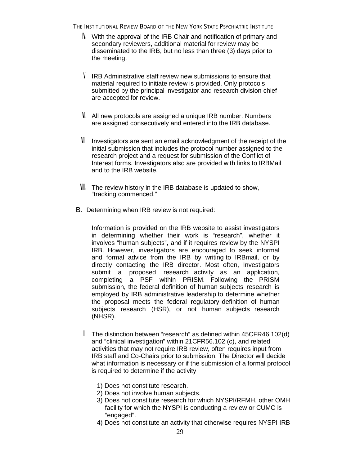- IV. With the approval of the IRB Chair and notification of primary and secondary reviewers, additional material for review may be disseminated to the IRB, but no less than three (3) days prior to the meeting.
- V. IRB Administrative staff review new submissions to ensure that material required to initiate review is provided. Only protocols submitted by the principal investigator and research division chief are accepted for review.
- VI. All new protocols are assigned a unique IRB number. Numbers are assigned consecutively and entered into the IRB database.
- VII. Investigators are sent an email acknowledgment of the receipt of the initial submission that includes the protocol number assigned to the research project and a request for submission of the Conflict of Interest forms. Investigators also are provided with links to IRBMail and to the IRB website.
- WIII. The review history in the IRB database is updated to show, "tracking commenced."
- B. Determining when IRB review is not required:
	- I. Information is provided on the IRB website to assist investigators in determining whether their work is "research", whether it involves "human subjects", and if it requires review by the NYSPI IRB. However, investigators are encouraged to seek informal and formal advice from the IRB by writing to IRBmail, or by directly contacting the IRB director. Most often, Investigators submit a proposed research activity as an application, completing a PSF within PRISM. Following the PRISM submission, the federal definition of human subjects research is employed by IRB administrative leadership to determine whether the proposal meets the federal regulatory definition of human subjects research (HSR), or not human subjects research (NHSR).
	- $\parallel$ . The distinction between "research" as defined within 45CFR46.102(d) and "clinical investigation" within 21CFR56.102 (c), and related activities that may not require IRB review, often requires input from IRB staff and Co-Chairs prior to submission. The Director will decide what information is necessary or if the submission of a formal protocol is required to determine if the activity
		- 1) Does not constitute research.
		- 2) Does not involve human subjects.
		- 3) Does not constitute research for which NYSPI/RFMH, other OMH facility for which the NYSPI is conducting a review or CUMC is "engaged".
		- 4) Does not constitute an activity that otherwise requires NYSPI IRB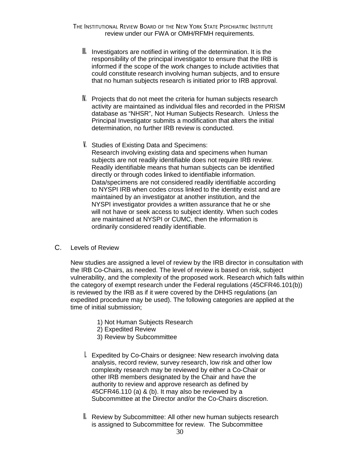THE INSTITUTIONAL REVIEW BOARD OF THE NEW YORK STATE PSYCHIATRIC INSTITUTE review under our FWA or OMH/RFMH requirements.

- III. Investigators are notified in writing of the determination. It is the responsibility of the principal investigator to ensure that the IRB is informed if the scope of the work changes to include activities that could constitute research involving human subjects, and to ensure that no human subjects research is initiated prior to IRB approval.
- IV. Projects that do not meet the criteria for human subjects research activity are maintained as individual files and recorded in the PRISM database as "NHSR", Not Human Subjects Research. Unless the Principal Investigator submits a modification that alters the initial determination, no further IRB review is conducted.
- V. Studies of Existing Data and Specimens: Research involving existing data and specimens when human subjects are not readily identifiable does not require IRB review. Readily identifiable means that human subjects can be identified directly or through codes linked to identifiable information. Data/specimens are not considered readily identifiable according to NYSPI IRB when codes cross linked to the identity exist and are maintained by an investigator at another institution, and the NYSPI investigator provides a written assurance that he or she will not have or seek access to subject identity. When such codes are maintained at NYSPI or CUMC, then the information is ordinarily considered readily identifiable.
- C. Levels of Review

New studies are assigned a level of review by the IRB director in consultation with the IRB Co-Chairs, as needed. The level of review is based on risk, subject vulnerability, and the complexity of the proposed work. Research which falls within the category of exempt research under the Federal regulations (45CFR46.101(b)) is reviewed by the IRB as if it were covered by the DHHS regulations (an expedited procedure may be used). The following categories are applied at the time of initial submission;

- 1) Not Human Subjects Research
- 2) Expedited Review
- 3) Review by Subcommittee
- I. Expedited by Co-Chairs or designee: New research involving data analysis, record review, survey research, low risk and other low complexity research may be reviewed by either a Co-Chair or other IRB members designated by the Chair and have the authority to review and approve research as defined by 45CFR46.110 (a) & (b). It may also be reviewed by a Subcommittee at the Director and/or the Co-Chairs discretion.
- II. Review by Subcommittee: All other new human subjects research is assigned to Subcommittee for review. The Subcommittee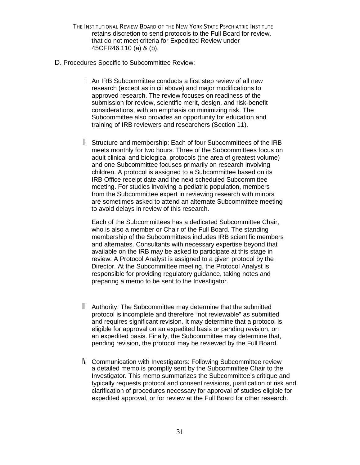- THE INSTITUTIONAL REVIEW BOARD OF THE NEW YORK STATE PSYCHIATRIC INSTITUTE retains discretion to send protocols to the Full Board for review, that do not meet criteria for Expedited Review under 45CFR46.110 (a) & (b).
- D. Procedures Specific to Subcommittee Review:
	- I. An IRB Subcommittee conducts a first step review of all new research (except as in cii above) and major modifications to approved research. The review focuses on readiness of the submission for review, scientific merit, design, and risk-benefit considerations, with an emphasis on minimizing risk. The Subcommittee also provides an opportunity for education and training of IRB reviewers and researchers (Section 11).
	- II. Structure and membership: Each of four Subcommittees of the IRB meets monthly for two hours. Three of the Subcommittees focus on adult clinical and biological protocols (the area of greatest volume) and one Subcommittee focuses primarily on research involving children. A protocol is assigned to a Subcommittee based on its IRB Office receipt date and the next scheduled Subcommittee meeting. For studies involving a pediatric population, members from the Subcommittee expert in reviewing research with minors are sometimes asked to attend an alternate Subcommittee meeting to avoid delays in review of this research.

Each of the Subcommittees has a dedicated Subcommittee Chair, who is also a member or Chair of the Full Board. The standing membership of the Subcommittees includes IRB scientific members and alternates. Consultants with necessary expertise beyond that available on the IRB may be asked to participate at this stage in review. A Protocol Analyst is assigned to a given protocol by the Director. At the Subcommittee meeting, the Protocol Analyst is responsible for providing regulatory guidance, taking notes and preparing a memo to be sent to the Investigator.

- III. Authority: The Subcommittee may determine that the submitted protocol is incomplete and therefore "not reviewable" as submitted and requires significant revision. It may determine that a protocol is eligible for approval on an expedited basis or pending revision, on an expedited basis. Finally, the Subcommittee may determine that, pending revision, the protocol may be reviewed by the Full Board.
- IV. Communication with Investigators: Following Subcommittee review a detailed memo is promptly sent by the Subcommittee Chair to the Investigator. This memo summarizes the Subcommittee's critique and typically requests protocol and consent revisions, justification of risk and clarification of procedures necessary for approval of studies eligible for expedited approval, or for review at the Full Board for other research.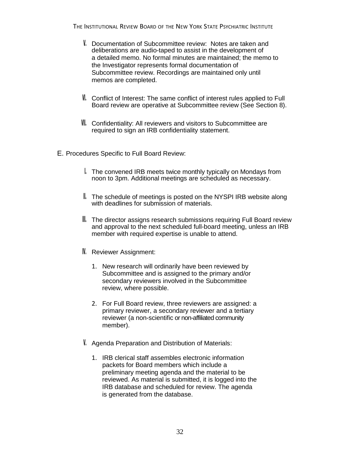- V. Documentation of Subcommittee review: Notes are taken and deliberations are audio-taped to assist in the development of a detailed memo. No formal minutes are maintained; the memo to the Investigator represents formal documentation of Subcommittee review. Recordings are maintained only until memos are completed.
- VI. Conflict of Interest: The same conflict of interest rules applied to Full Board review are operative at Subcommittee review (See Section 8).
- VII. Confidentiality: All reviewers and visitors to Subcommittee are required to sign an IRB confidentiality statement.
- E. Procedures Specific to Full Board Review:
	- I. The convened IRB meets twice monthly typically on Mondays from noon to 3pm. Additional meetings are scheduled as necessary.
	- II. The schedule of meetings is posted on the NYSPI IRB website along with deadlines for submission of materials.
	- III. The director assigns research submissions requiring Full Board review and approval to the next scheduled full-board meeting, unless an IRB member with required expertise is unable to attend.
	- IV. Reviewer Assignment:
		- 1. New research will ordinarily have been reviewed by Subcommittee and is assigned to the primary and/or secondary reviewers involved in the Subcommittee review, where possible.
		- 2. For Full Board review, three reviewers are assigned: a primary reviewer, a secondary reviewer and a tertiary reviewer (a non-scientific or non-affiliated community member).
	- V. Agenda Preparation and Distribution of Materials:
		- 1. IRB clerical staff assembles electronic information packets for Board members which include a preliminary meeting agenda and the material to be reviewed. As material is submitted, it is logged into the IRB database and scheduled for review. The agenda is generated from the database.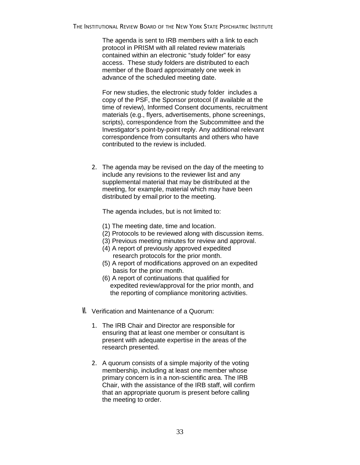The agenda is sent to IRB members with a link to each protocol in PRISM with all related review materials contained within an electronic "study folder" for easy access. These study folders are distributed to each member of the Board approximately one week in advance of the scheduled meeting date.

For new studies, the electronic study folder includes a copy of the PSF, the Sponsor protocol (if available at the time of review), Informed Consent documents, recruitment materials (e.g., flyers, advertisements, phone screenings, scripts), correspondence from the Subcommittee and the Investigator's point-by-point reply. Any additional relevant correspondence from consultants and others who have contributed to the review is included.

2. The agenda may be revised on the day of the meeting to include any revisions to the reviewer list and any supplemental material that may be distributed at the meeting, for example, material which may have been distributed by email prior to the meeting.

The agenda includes, but is not limited to:

- (1) The meeting date, time and location.
- (2) Protocols to be reviewed along with discussion items.
- (3) Previous meeting minutes for review and approval.
- (4) A report of previously approved expedited research protocols for the prior month.
- (5) A report of modifications approved on an expedited basis for the prior month.
- (6) A report of continuations that qualified for expedited review/approval for the prior month, and the reporting of compliance monitoring activities.
- VI. Verification and Maintenance of a Quorum:
	- 1. The IRB Chair and Director are responsible for ensuring that at least one member or consultant is present with adequate expertise in the areas of the research presented.
	- 2. A quorum consists of a simple majority of the voting membership, including at least one member whose primary concern is in a non-scientific area. The IRB Chair, with the assistance of the IRB staff, will confirm that an appropriate quorum is present before calling the meeting to order.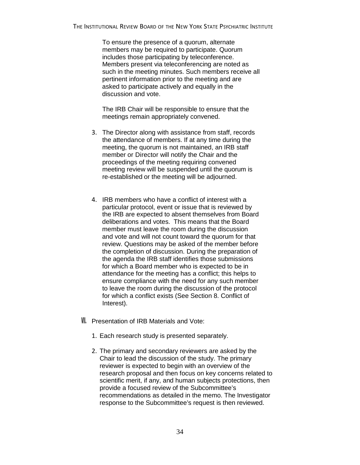To ensure the presence of a quorum, alternate members may be required to participate. Quorum includes those participating by teleconference. Members present via teleconferencing are noted as such in the meeting minutes. Such members receive all pertinent information prior to the meeting and are asked to participate actively and equally in the discussion and vote.

The IRB Chair will be responsible to ensure that the meetings remain appropriately convened.

- 3. The Director along with assistance from staff, records the attendance of members. If at any time during the meeting, the quorum is not maintained, an IRB staff member or Director will notify the Chair and the proceedings of the meeting requiring convened meeting review will be suspended until the quorum is re-established or the meeting will be adjourned.
- 4. IRB members who have a conflict of interest with a particular protocol, event or issue that is reviewed by the IRB are expected to absent themselves from Board deliberations and votes. This means that the Board member must leave the room during the discussion and vote and will not count toward the quorum for that review. Questions may be asked of the member before the completion of discussion. During the preparation of the agenda the IRB staff identifies those submissions for which a Board member who is expected to be in attendance for the meeting has a conflict; this helps to ensure compliance with the need for any such member to leave the room during the discussion of the protocol for which a conflict exists (See Section 8. Conflict of Interest).
- VII. Presentation of IRB Materials and Vote:
	- 1. Each research study is presented separately.
	- 2. The primary and secondary reviewers are asked by the Chair to lead the discussion of the study. The primary reviewer is expected to begin with an overview of the research proposal and then focus on key concerns related to scientific merit, if any, and human subjects protections, then provide a focused review of the Subcommittee's recommendations as detailed in the memo. The Investigator response to the Subcommittee's request is then reviewed.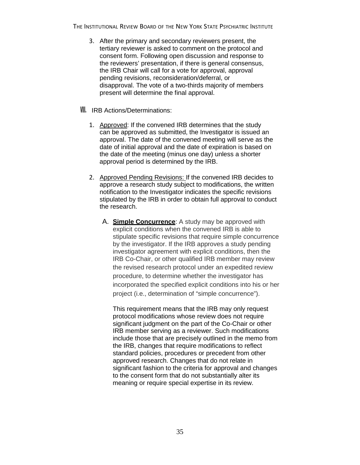- 3. After the primary and secondary reviewers present, the tertiary reviewer is asked to comment on the protocol and consent form. Following open discussion and response to the reviewers' presentation, if there is general consensus, the IRB Chair will call for a vote for approval, approval pending revisions, reconsideration/deferral, or disapproval. The vote of a two-thirds majority of members present will determine the final approval.
- **VIII.** IRB Actions/Determinations:
	- 1. Approved: If the convened IRB determines that the study can be approved as submitted, the Investigator is issued an approval. The date of the convened meeting will serve as the date of initial approval and the date of expiration is based on the date of the meeting (minus one day) unless a shorter approval period is determined by the IRB.
	- 2. Approved Pending Revisions: If the convened IRB decides to approve a research study subject to modifications, the written notification to the Investigator indicates the specific revisions stipulated by the IRB in order to obtain full approval to conduct the research.
		- A. **Simple Concurrence**: A study may be approved with explicit conditions when the convened IRB is able to stipulate specific revisions that require simple concurrence by the investigator. If the IRB approves a study pending investigator agreement with explicit conditions, then the IRB Co-Chair, or other qualified IRB member may review the revised research protocol under an expedited review procedure, to determine whether the investigator has incorporated the specified explicit conditions into his or her project (i.e., determination of "simple concurrence").

This requirement means that the IRB may only request protocol modifications whose review does not require significant judgment on the part of the Co-Chair or other IRB member serving as a reviewer. Such modifications include those that are precisely outlined in the memo from the IRB, changes that require modifications to reflect standard policies, procedures or precedent from other approved research. Changes that do not relate in significant fashion to the criteria for approval and changes to the consent form that do not substantially alter its meaning or require special expertise in its review.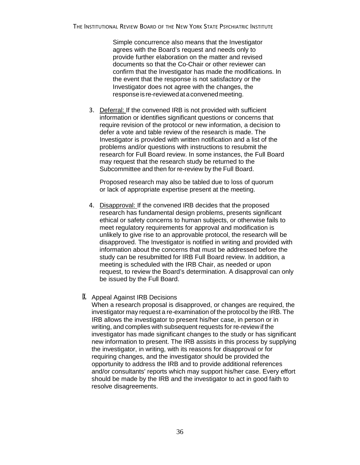Simple concurrence also means that the Investigator agrees with the Board's request and needs only to provide further elaboration on the matter and revised documents so that the Co-Chair or other reviewer can confirm that the Investigator has made the modifications. In the event that the response is not satisfactory or the Investigator does not agree with the changes, the responseis re-reviewedataconvenedmeeting.

3. Deferral: If the convened IRB is not provided with sufficient information or identifies significant questions or concerns that require revision of the protocol or new information, a decision to defer a vote and table review of the research is made. The Investigator is provided with written notification and a list of the problems and/or questions with instructions to resubmit the research for Full Board review. In some instances, the Full Board may request that the research study be returned to the Subcommittee and then for re-review by the Full Board.

Proposed research may also be tabled due to loss of quorum or lack of appropriate expertise present at the meeting.

- 4. Disapproval: If the convened IRB decides that the proposed research has fundamental design problems, presents significant ethical or safety concerns to human subjects, or otherwise fails to meet regulatory requirements for approval and modification is unlikely to give rise to an approvable protocol, the research will be disapproved. The Investigator is notified in writing and provided with information about the concerns that must be addressed before the study can be resubmitted for IRB Full Board review. In addition, a meeting is scheduled with the IRB Chair, as needed or upon request, to review the Board's determination. A disapproval can only be issued by the Full Board.
- IX. Appeal Against IRB Decisions

When a research proposal is disapproved, or changes are required, the investigator may request a re-examination of the protocol by the IRB. The IRB allows the investigator to present his/her case, in person or in writing, and complies with subsequent requests for re-review if the investigator has made significant changes to the study or has significant new information to present. The IRB assists in this process by supplying the investigator, in writing, with its reasons for disapproval or for requiring changes, and the investigator should be provided the opportunity to address the IRB and to provide additional references and/or consultants' reports which may support his/her case. Every effort should be made by the IRB and the investigator to act in good faith to resolve disagreements.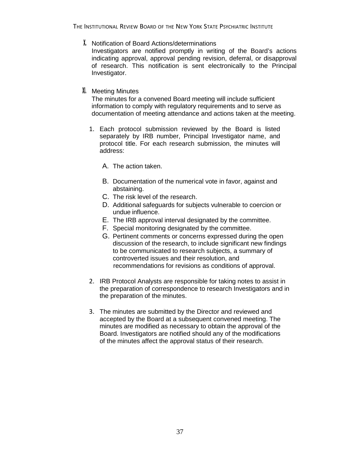- X. Notification of Board Actions/determinations Investigators are notified promptly in writing of the Board's actions indicating approval, approval pending revision, deferral, or disapproval of research. This notification is sent electronically to the Principal Investigator.
- XI. Meeting Minutes

The minutes for a convened Board meeting will include sufficient information to comply with regulatory requirements and to serve as documentation of meeting attendance and actions taken at the meeting.

- 1. Each protocol submission reviewed by the Board is listed separately by IRB number, Principal Investigator name, and protocol title. For each research submission, the minutes will address:
	- A. The action taken.
	- B. Documentation of the numerical vote in favor, against and abstaining.
	- C. The risk level of the research.
	- D. Additional safeguards for subjects vulnerable to coercion or undue influence.
	- E. The IRB approval interval designated by the committee.
	- F. Special monitoring designated by the committee.
	- G. Pertinent comments or concerns expressed during the open discussion of the research, to include significant new findings to be communicated to research subjects, a summary of controverted issues and their resolution, and recommendations for revisions as conditions of approval.
- 2. IRB Protocol Analysts are responsible for taking notes to assist in the preparation of correspondence to research Investigators and in the preparation of the minutes.
- 3. The minutes are submitted by the Director and reviewed and accepted by the Board at a subsequent convened meeting. The minutes are modified as necessary to obtain the approval of the Board. Investigators are notified should any of the modifications of the minutes affect the approval status of their research.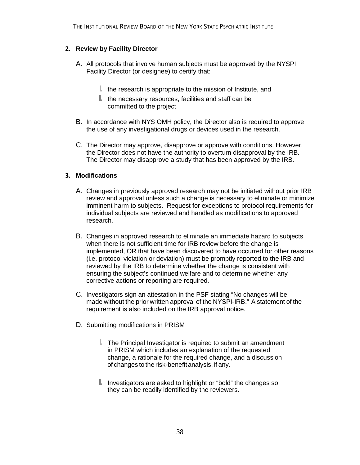# **2. Review by Facility Director**

- A. All protocols that involve human subjects must be approved by the NYSPI Facility Director (or designee) to certify that:
	- I. the research is appropriate to the mission of Institute, and
	- II. the necessary resources, facilities and staff can be committed to the project
- B. In accordance with NYS OMH policy, the Director also is required to approve the use of any investigational drugs or devices used in the research.
- C. The Director may approve, disapprove or approve with conditions. However, the Director does not have the authority to overturn disapproval by the IRB. The Director may disapprove a study that has been approved by the IRB.

#### **3. Modifications**

- A. Changes in previously approved research may not be initiated without prior IRB review and approval unless such a change is necessary to eliminate or minimize imminent harm to subjects. Request for exceptions to protocol requirements for individual subjects are reviewed and handled as modifications to approved research.
- B. Changes in approved research to eliminate an immediate hazard to subjects when there is not sufficient time for IRB review before the change is implemented, OR that have been discovered to have occurred for other reasons (i.e. protocol violation or deviation) must be promptly reported to the IRB and reviewed by the IRB to determine whether the change is consistent with ensuring the subject's continued welfare and to determine whether any corrective actions or reporting are required.
- C. Investigators sign an attestation in the PSF stating "No changes will be made without the prior written approval of the NYSPI-IRB." A statement of the requirement is also included on the IRB approval notice.
- D. Submitting modifications in PRISM
	- I. The Principal Investigator is required to submit an amendment in PRISM which includes an explanation of the requested change, a rationale for the required change, and a discussion of changes to the risk-benefitanalysis, if any.
	- II. Investigators are asked to highlight or "bold" the changes so they can be readily identified by the reviewers.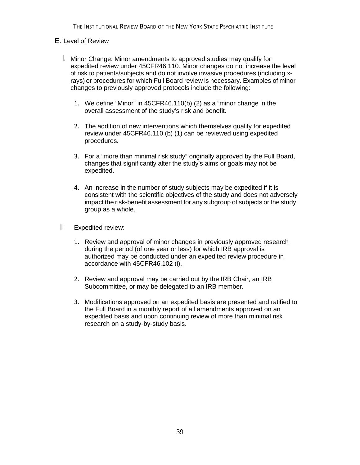### E. Level of Review

- I. Minor Change: Minor amendments to approved studies may qualify for expedited review under 45CFR46.110. Minor changes do not increase the level of risk to patients/subjects and do not involve invasive procedures (including xrays) or procedures for which Full Board review is necessary. Examples of minor changes to previously approved protocols include the following:
	- 1. We define "Minor" in 45CFR46.110(b) (2) as a "minor change in the overall assessment of the study's risk and benefit.
	- 2. The addition of new interventions which themselves qualify for expedited review under 45CFR46.110 (b) (1) can be reviewed using expedited procedures.
	- 3. For a "more than minimal risk study" originally approved by the Full Board, changes that significantly alter the study's aims or goals may not be expedited.
	- 4. An increase in the number of study subjects may be expedited if it is consistent with the scientific objectives of the study and does not adversely impact the risk-benefit assessment for any subgroup of subjects or the study group as a whole.
- II. Expedited review:
	- 1. Review and approval of minor changes in previously approved research during the period (of one year or less) for which IRB approval is authorized may be conducted under an expedited review procedure in accordance with 45CFR46.102 (i).
	- 2. Review and approval may be carried out by the IRB Chair, an IRB Subcommittee, or may be delegated to an IRB member.
	- 3. Modifications approved on an expedited basis are presented and ratified to the Full Board in a monthly report of all amendments approved on an expedited basis and upon continuing review of more than minimal risk research on a study-by-study basis.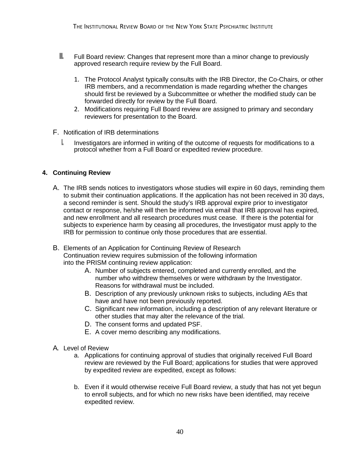- $\mathbb{I}$  Full Board review: Changes that represent more than a minor change to previously approved research require review by the Full Board.
	- 1. The Protocol Analyst typically consults with the IRB Director, the Co-Chairs, or other IRB members, and a recommendation is made regarding whether the changes should first be reviewed by a Subcommittee or whether the modified study can be forwarded directly for review by the Full Board.
	- 2. Modifications requiring Full Board review are assigned to primary and secondary reviewers for presentation to the Board.
- F. Notification of IRB determinations
	- I. Investigators are informed in writing of the outcome of requests for modifications to a protocol whether from a Full Board or expedited review procedure.

# **4. Continuing Review**

- A. The IRB sends notices to investigators whose studies will expire in 60 days, reminding them to submit their continuation applications. If the application has not been received in 30 days, a second reminder is sent. Should the study's IRB approval expire prior to investigator contact or response, he/she will then be informed via email that IRB approval has expired, and new enrollment and all research procedures must cease. If there is the potential for subjects to experience harm by ceasing all procedures, the Investigator must apply to the IRB for permission to continue only those procedures that are essential.
- B. Elements of an Application for Continuing Review of Research Continuation review requires submission of the following information into the PRISM continuing review application:
	- A. Number of subjects entered, completed and currently enrolled, and the number who withdrew themselves or were withdrawn by the Investigator. Reasons for withdrawal must be included.
	- B. Description of any previously unknown risks to subjects, including AEs that have and have not been previously reported.
	- C. Significant new information, including a description of any relevant literature or other studies that may alter the relevance of the trial.
	- D. The consent forms and updated PSF.
	- E. A cover memo describing any modifications.
- A. Level of Review
	- a. Applications for continuing approval of studies that originally received Full Board review are reviewed by the Full Board; applications for studies that were approved by expedited review are expedited, except as follows:
	- b. Even if it would otherwise receive Full Board review, a study that has not yet begun to enroll subjects, and for which no new risks have been identified, may receive expedited review.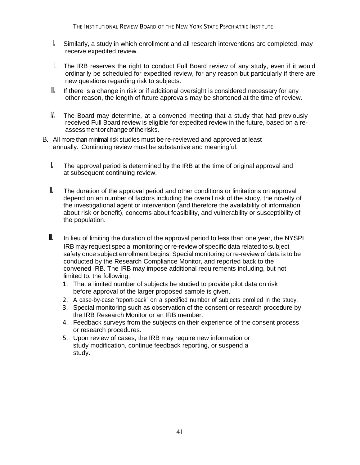- $\mathsf{l}$ . Similarly, a study in which enrollment and all research interventions are completed, may receive expedited review.
- II. The IRB reserves the right to conduct Full Board review of any study, even if it would ordinarily be scheduled for expedited review, for any reason but particularly if there are new questions regarding risk to subjects.
- $\parallel$ . If there is a change in risk or if additional oversight is considered necessary for any other reason, the length of future approvals may be shortened at the time of review.
- IV. The Board may determine, at a convened meeting that a study that had previously received Full Board review is eligible for expedited review in the future, based on a reassessmentorchangeoftherisks.
- B. All more than minimal risk studies must be re-reviewed and approved at least annually. Continuing review must be substantive and meaningful.
	- I. The approval period is determined by the IRB at the time of original approval and at subsequent continuing review.
	- $\mathbb{I}$ . The duration of the approval period and other conditions or limitations on approval depend on an number of factors including the overall risk of the study, the novelty of the investigational agent or intervention (and therefore the availability of information about risk or benefit), concerns about feasibility, and vulnerability or susceptibility of the population.
	- $\|$ . In lieu of limiting the duration of the approval period to less than one year, the NYSPI IRB may request special monitoring or re-review of specific data related to subject safety once subject enrollment begins. Special monitoring or re-review of data is to be conducted by the Research Compliance Monitor, and reported back to the convened IRB. The IRB may impose additional requirements including, but not limited to, the following:
		- 1. That a limited number of subjects be studied to provide pilot data on risk before approval of the larger proposed sample is given.
		- 2. A case-by-case "report-back" on a specified number of subjects enrolled in the study.
		- 3. Special monitoring such as observation of the consent or research procedure by the IRB Research Monitor or an IRB member.
		- 4. Feedback surveys from the subjects on their experience of the consent process or research procedures.
		- 5. Upon review of cases, the IRB may require new information or study modification, continue feedback reporting, or suspend a study.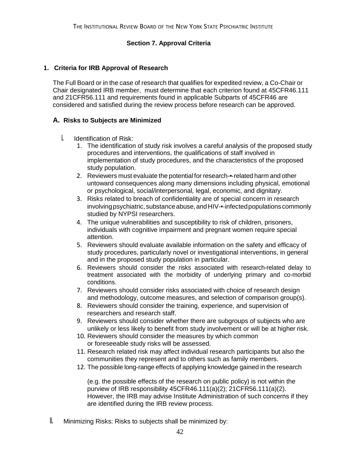# **Section 7. Approval Criteria**

# **1. Criteria for IRB Approval of Research**

The Full Board or in the case of research that qualifies for expedited review, a Co-Chair or Chair designated IRB member, must determine that each criterion found at 45CFR46.111 and 21CFR56.111 and requirements found in applicable Subparts of 45CFR46 are considered and satisfied during the review process before research can be approved.

# **A. Risks to Subjects are Minimized**

- I. Identification of Risk:
	- 1. The identification of study risk involves a careful analysis of the proposed study procedures and interventions, the qualifications of staff involved in implementation of study procedures, and the characteristics of the proposed study population.
	- 2. Reviewers must evaluate the potential for research-•‐related harm and other untoward consequences along many dimensions including physical, emotional or psychological, social/interpersonal, legal, economic, and dignitary.
	- 3. Risks related to breach of confidentiality are of special concern in research involving psychiatric, substance abuse, and HIV-•-infected populations commonly studied by NYPSI researchers.
	- 4. The unique vulnerabilities and susceptibility to risk of children, prisoners, individuals with cognitive impairment and pregnant women require special attention.
	- 5. Reviewers should evaluate available information on the safety and efficacy of study procedures, particularly novel or investigational interventions, in general and in the proposed study population in particular.
	- 6. Reviewers should consider the risks associated with research-related delay to treatment associated with the morbidity of underlying primary and co-morbid conditions.
	- 7. Reviewers should consider risks associated with choice of research design and methodology, outcome measures, and selection of comparison group(s).
	- 8. Reviewers should consider the training, experience, and supervision of researchers and research staff.
	- 9. Reviewers should consider whether there are subgroups of subjects who are unlikely or less likely to benefit from study involvement or will be at higher risk.
	- 10. Reviewers should consider the measures by which common or foreseeable study risks will be assessed.
	- 11. Research related risk may affect individual research participants but also the communities they represent and to others such as family members.
	- 12. The possible long-range effects of applying knowledge gained in the research

(e.g. the possible effects of the research on public policy) is not within the purview of IRB responsibility 45CFR46.111(a)(2); 21CFR56.111(a)(2). However, the IRB may advise Institute Administration of such concerns if they are identified during the IRB review process.

 $\|$ . Minimizing Risks: Risks to subjects shall be minimized by: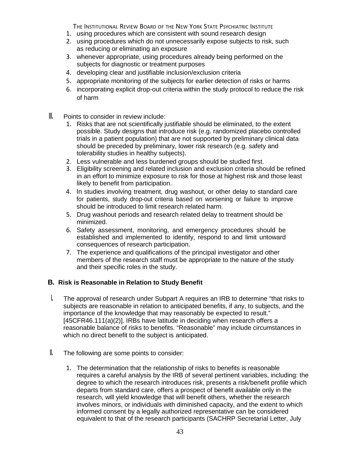- 1. using procedures which are consistent with sound research design
- 2. using procedures which do not unnecessarily expose subjects to risk, such as reducing or eliminating an exposure
- 3. whenever appropriate, using procedures already being performed on the subjects for diagnostic or treatment purposes
- 4. developing clear and justifiable inclusion/exclusion criteria
- 5. appropriate monitoring of the subjects for earlier detection of risks or harms
- 6. incorporating explicit drop-out criteria within the study protocol to reduce the risk of harm
- $\mathbb{I}$  Points to consider in review include:
	- 1. Risks that are not scientifically justifiable should be eliminated, to the extent possible. Study designs that introduce risk (e.g. randomized placebo controlled trials in a patient population) that are not supported by preliminary clinical data should be preceded by preliminary, lower risk research (e.g. safety and tolerability studies in healthy subjects).
	- 2. Less vulnerable and less burdened groups should be studied first.
	- 3. Eligibility screening and related inclusion and exclusion criteria should be refined in an effort to minimize exposure to risk for those at highest risk and those least likely to benefit from participation.
	- 4. In studies involving treatment, drug washout, or other delay to standard care for patients, study drop-out criteria based on worsening or failure to improve should be introduced to limit research related harm.
	- 5. Drug washout periods and research related delay to treatment should be minimized.
	- 6. Safety assessment, monitoring, and emergency procedures should be established and implemented to identify, respond to and limit untoward consequences of research participation.
	- 7. The experience and qualifications of the principal investigator and other members of the research staff must be appropriate to the nature of the study and their specific roles in the study.

# **B. Risk is Reasonable in Relation to Study Benefit**

- $\mathsf{I}$ . The approval of research under Subpart A requires an IRB to determine "that risks to subjects are reasonable in relation to anticipated benefits, if any, to subjects, and the importance of the knowledge that may reasonably be expected to result." [45CFR46.111(a)(2)]. IRBs have latitude in deciding when research offers a reasonable balance of risks to benefits. "Reasonable" may include circumstances in which no direct benefit to the subject is anticipated.
- $\parallel$ . The following are some points to consider:
	- 1. The determination that the relationship of risks to benefits is reasonable requires a careful analysis by the IRB of several pertinent variables, including: the degree to which the research introduces risk, presents a risk/benefit profile which departs from standard care, offers a prospect of benefit available only in the research, will yield knowledge that will benefit others, whether the research involves minors, or individuals with diminished capacity, and the extent to which informed consent by a legally authorized representative can be considered equivalent to that of the research participants (SACHRP Secretarial Letter, July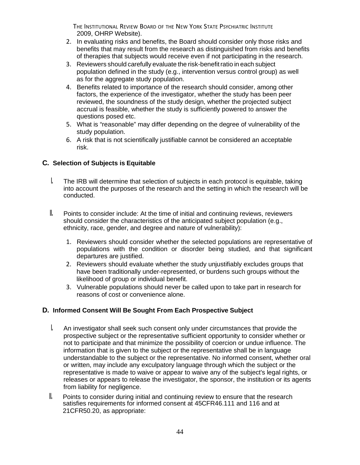THE INSTITUTIONAL REVIEW BOARD OF THE NEW YORK STATE PSYCHIATRIC INSTITUTE 2009, OHRP Website).

- 2. In evaluating risks and benefits, the Board should consider only those risks and benefits that may result from the research as distinguished from risks and benefits of therapies that subjects would receive even if not participating in the research.
- 3. Reviewers should carefully evaluate the risk-benefitratio in each subject population defined in the study (e.g., intervention versus control group) as well as for the aggregate study population.
- 4. Benefits related to importance of the research should consider, among other factors, the experience of the investigator, whether the study has been peer reviewed, the soundness of the study design, whether the projected subject accrual is feasible, whether the study is sufficiently powered to answer the questions posed etc.
- 5. What is "reasonable" may differ depending on the degree of vulnerability of the study population.
- 6. A risk that is not scientifically justifiable cannot be considered an acceptable risk.

# **C. Selection of Subjects is Equitable**

- I. The IRB will determine that selection of subjects in each protocol is equitable, taking into account the purposes of the research and the setting in which the research will be conducted.
- $\|$ . Points to consider include: At the time of initial and continuing reviews, reviewers should consider the characteristics of the anticipated subject population (e.g., ethnicity, race, gender, and degree and nature of vulnerability):
	- 1. Reviewers should consider whether the selected populations are representative of populations with the condition or disorder being studied, and that significant departures are justified.
	- 2. Reviewers should evaluate whether the study unjustifiably excludes groups that have been traditionally under-represented, or burdens such groups without the likelihood of group or individual benefit.
	- 3. Vulnerable populations should never be called upon to take part in research for reasons of cost or convenience alone.

# **D. Informed Consent Will Be Sought From Each Prospective Subject**

- I. An investigator shall seek such consent only under circumstances that provide the prospective subject or the representative sufficient opportunity to consider whether or not to participate and that minimize the possibility of coercion or undue influence. The information that is given to the subject or the representative shall be in language understandable to the subject or the representative. No informed consent, whether oral or written, may include any exculpatory language through which the subject or the representative is made to waive or appear to waive any of the subject's legal rights, or releases or appears to release the investigator, the sponsor, the institution or its agents from liability for negligence.
- II. Points to consider during initial and continuing review to ensure that the research satisfies requirements for informed consent at 45CFR46.111 and 116 and at 21CFR50.20, as appropriate: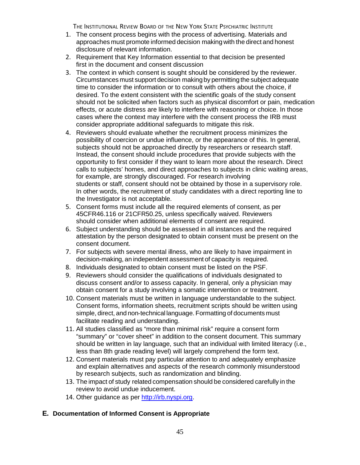- 1. The consent process begins with the process of advertising. Materials and approaches must promote informed decision making with the direct and honest disclosure of relevant information.
- 2. Requirement that Key Information essential to that decision be presented first in the document and consent discussion
- 3. The context in which consent is sought should be considered by the reviewer. Circumstances must support decision making by permitting the subject adequate time to consider the information or to consult with others about the choice, if desired. To the extent consistent with the scientific goals of the study consent should not be solicited when factors such as physical discomfort or pain, medication effects, or acute distress are likely to interfere with reasoning or choice. In those cases where the context may interfere with the consent process the IRB must consider appropriate additional safeguards to mitigate this risk.
- 4. Reviewers should evaluate whether the recruitment process minimizes the possibility of coercion or undue influence, or the appearance of this. In general, subjects should not be approached directly by researchers or research staff. Instead, the consent should include procedures that provide subjects with the opportunity to first consider if they want to learn more about the research. Direct calls to subjects' homes, and direct approaches to subjects in clinic waiting areas, for example, are strongly discouraged. For research involving students or staff, consent should not be obtained by those in a supervisory role. In other words, the recruitment of study candidates with a direct reporting line to the Investigator is not acceptable.
- 5. Consent forms must include all the required elements of consent, as per 45CFR46.116 or 21CFR50.25, unless specifically waived. Reviewers should consider when additional elements of consent are required.
- 6. Subject understanding should be assessed in all instances and the required attestation by the person designated to obtain consent must be present on the consent document.
- 7. For subjects with severe mental illness, who are likely to have impairment in decision-making, an independent assessment of capacity is required.
- 8. Individuals designated to obtain consent must be listed on the PSF.
- 9. Reviewers should consider the qualifications of individuals designated to discuss consent and/or to assess capacity. In general, only a physician may obtain consent for a study involving a somatic intervention or treatment.
- 10. Consent materials must be written in language understandable to the subject. Consent forms, information sheets, recruitment scripts should be written using simple, direct, and non-technical language. Formatting of documents must facilitate reading and understanding.
- 11. All studies classified as "more than minimal risk" require a consent form "summary" or "cover sheet" in addition to the consent document. This summary should be written in lay language, such that an individual with limited literacy (i.e., less than 8th grade reading level) will largely comprehend the form text.
- 12. Consent materials must pay particular attention to and adequately emphasize and explain alternatives and aspects of the research commonly misunderstood by research subjects, such as randomization and blinding.
- 13. The impact of study related compensation should be considered carefully in the review to avoid undue inducement.
- 14. Other guidance as per [http://irb.nyspi.org.](http://irb.nyspi.org/)

# **E. Documentation of Informed Consent is Appropriate**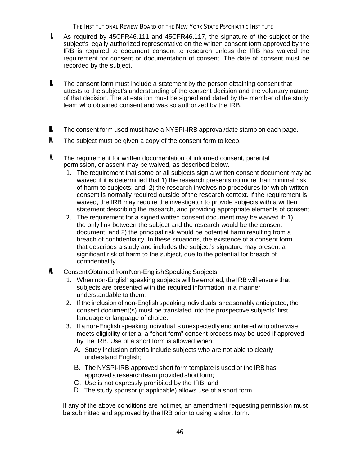- I. As required by 45CFR46.111 and 45CFR46.117, the signature of the subject or the subject's legally authorized representative on the written consent form approved by the IRB is required to document consent to research unless the IRB has waived the requirement for consent or documentation of consent. The date of consent must be recorded by the subject.
- $\mathbb{I}$ . The consent form must include a statement by the person obtaining consent that attests to the subject's understanding of the consent decision and the voluntary nature of that decision. The attestation must be signed and dated by the member of the study team who obtained consent and was so authorized by the IRB.
- $\mathbb{I}$  The consent form used must have a NYSPI-IRB approval/date stamp on each page.
- $\mathbb{I}$ . The subject must be given a copy of the consent form to keep.
- V. The requirement for written documentation of informed consent, parental permission, or assent may be waived, as described below.
	- 1. The requirement that some or all subjects sign a written consent document may be waived if it is determined that 1) the research presents no more than minimal risk of harm to subjects; and 2) the research involves no procedures for which written consent is normally required outside of the research context. If the requirement is waived, the IRB may require the investigator to provide subjects with a written statement describing the research, and providing appropriate elements of consent.
	- 2. The requirement for a signed written consent document may be waived if: 1) the only link between the subject and the research would be the consent document; and 2) the principal risk would be potential harm resulting from a breach of confidentiality. In these situations, the existence of a consent form that describes a study and includes the subject's signature may present a significant risk of harm to the subject, due to the potential for breach of confidentiality.
- VI. Consent Obtained from Non-English Speaking Subjects
	- 1. When non-English speaking subjects will be enrolled, the IRB will ensure that subjects are presented with the required information in a manner understandable to them.
	- 2. If the inclusion of non-English speaking individuals is reasonably anticipated, the consent document(s) must be translated into the prospective subjects' first language or language of choice.
	- 3. If a non-English speaking individual is unexpectedly encountered who otherwise meets eligibility criteria, a "short form" consent process may be used if approved by the IRB. Use of a short form is allowed when:
		- A. Study inclusion criteria include subjects who are not able to clearly understand English;
		- B. The NYSPI-IRB approved short form template is used or the IRB has approved a research team provided short form;
		- C. Use is not expressly prohibited by the IRB; and
		- D. The study sponsor (if applicable) allows use of a short form.

If any of the above conditions are not met, an amendment requesting permission must be submitted and approved by the IRB prior to using a short form.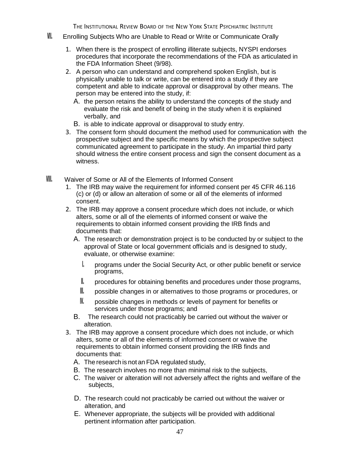- VII. Enrolling Subjects Who are Unable to Read or Write or Communicate Orally
	- 1. When there is the prospect of enrolling illiterate subjects, NYSPI endorses procedures that incorporate the recommendations of the FDA as articulated in the FDA Information Sheet (9/98).
	- 2. A person who can understand and comprehend spoken English, but is physically unable to talk or write, can be entered into a study if they are competent and able to indicate approval or disapproval by other means. The person may be entered into the study, if:
		- A. the person retains the ability to understand the concepts of the study and evaluate the risk and benefit of being in the study when it is explained verbally, and
		- B. is able to indicate approval or disapproval to study entry.
	- 3. The consent form should document the method used for communication with the prospective subject and the specific means by which the prospective subject communicated agreement to participate in the study. An impartial third party should witness the entire consent process and sign the consent document as a witness.
- VIII. Waiver of Some or All of the Elements of Informed Consent
	- 1. The IRB may waive the requirement for informed consent per 45 CFR 46.116 (c) or (d) or allow an alteration of some or all of the elements of informed consent.
	- 2. The IRB may approve a consent procedure which does not include, or which alters, some or all of the elements of informed consent or waive the requirements to obtain informed consent providing the IRB finds and documents that:
		- A. The research or demonstration project is to be conducted by or subject to the approval of State or local government officials and is designed to study, evaluate, or otherwise examine:
			- I. programs under the Social Security Act, or other public benefit or service programs,
			- II. procedures for obtaining benefits and procedures under those programs,
			- III. possible changes in or alternatives to those programs or procedures, or
			- IV. possible changes in methods or levels of payment for benefits or services under those programs; and
		- B. The research could not practicably be carried out without the waiver or alteration.
	- 3. The IRB may approve a consent procedure which does not include, or which alters, some or all of the elements of informed consent or waive the requirements to obtain informed consent providing the IRB finds and documents that:
		- A. The research is not an FDA regulated study,
		- B. The research involves no more than minimal risk to the subjects,
		- C. The waiver or alteration will not adversely affect the rights and welfare of the subjects,
		- D. The research could not practicably be carried out without the waiver or alteration, and
		- E. Whenever appropriate, the subjects will be provided with additional pertinent information after participation.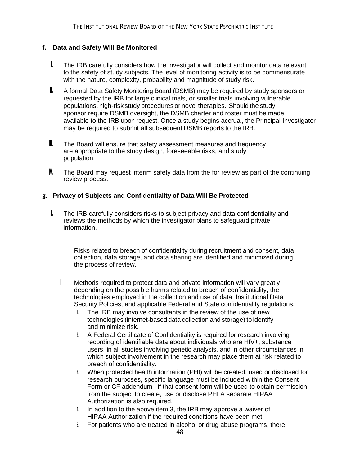# **f. Data and Safety Will Be Monitored**

- I. The IRB carefully considers how the investigator will collect and monitor data relevant to the safety of study subjects. The level of monitoring activity is to be commensurate with the nature, complexity, probability and magnitude of study risk.
- II. A formal Data Safety Monitoring Board (DSMB) may be required by study sponsors or requested by the IRB for large clinical trials, or smaller trials involving vulnerable populations, high-risk study procedures or novel therapies. Should the study sponsor require DSMB oversight, the DSMB charter and roster must be made available to the IRB upon request. Once a study begins accrual, the Principal Investigator may be required to submit all subsequent DSMB reports to the IRB.
- $\mathbb{I}$  The Board will ensure that safety assessment measures and frequency are appropriate to the study design, foreseeable risks, and study population.
- $\mathbb{N}$ . The Board may request interim safety data from the for review as part of the continuing review process.

## **g. Privacy of Subjects and Confidentiality of Data Will Be Protected**

- $\parallel$  The IRB carefully considers risks to subject privacy and data confidentiality and reviews the methods by which the investigator plans to safeguard private information.
	- $\|$ . Risks related to breach of confidentiality during recruitment and consent, data collection, data storage, and data sharing are identified and minimized during the process of review.
	- $\mathbb{I}$  Methods required to protect data and private information will vary greatly depending on the possible harms related to breach of confidentiality, the technologies employed in the collection and use of data, Institutional Data Security Policies, and applicable Federal and State confidentiality regulations.
		- 1. The IRB may involve consultants in the review of the use of new technologies (internet-based data collection and storage) to identify and minimize risk.
		- 2. A Federal Certificate of Confidentiality is required for research involving recording of identifiable data about individuals who are HIV+, substance users, in all studies involving genetic analysis, and in other circumstances in which subject involvement in the research may place them at risk related to breach of confidentiality.
		- 3. When protected health information (PHI) will be created, used or disclosed for research purposes, specific language must be included within the Consent Form or CF addendum , if that consent form will be used to obtain permission from the subject to create, use or disclose PHI A separate HIPAA Authorization is also required.
		- 4 In addition to the above item 3, the IRB may approve a waiver of HIPAA Authorization if the required conditions have been met.
		- 5. For patients who are treated in alcohol or drug abuse programs, there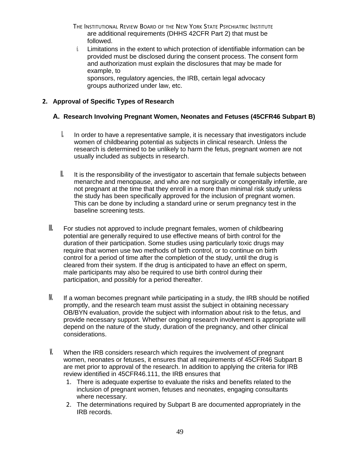- THE INSTITUTIONAL REVIEW BOARD OF THE NEW YORK STATE PSYCHIATRIC INSTITUTE are additional requirements (DHHS 42CFR Part 2) that must be followed.
- 6. Limitations in the extent to which protection of identifiable information can be provided must be disclosed during the consent process. The consent form and authorization must explain the disclosures that may be made for example, to

sponsors, regulatory agencies, the IRB, certain legal advocacy groups authorized under law, etc.

# **2. Approval of Specific Types of Research**

# **A. Research Involving Pregnant Women, Neonates and Fetuses (45CFR46 Subpart B)**

- $\mathsf{l}$ . In order to have a representative sample, it is necessary that investigators include women of childbearing potential as subjects in clinical research. Unless the research is determined to be unlikely to harm the fetus, pregnant women are not usually included as subjects in research.
- $\|$ . It is the responsibility of the investigator to ascertain that female subjects between menarche and menopause, and who are not surgically or congenitally infertile, are not pregnant at the time that they enroll in a more than minimal risk study unless the study has been specifically approved for the inclusion of pregnant women. This can be done by including a standard urine or serum pregnancy test in the baseline screening tests.
- III. For studies not approved to include pregnant females, women of childbearing potential are generally required to use effective means of birth control for the duration of their participation. Some studies using particularly toxic drugs may require that women use two methods of birth control, or to continue on birth control for a period of time after the completion of the study, until the drug is cleared from their system. If the drug is anticipated to have an effect on sperm, male participants may also be required to use birth control during their participation, and possibly for a period thereafter.
- $\mathbb{N}$ . If a woman becomes pregnant while participating in a study, the IRB should be notified promptly, and the research team must assist the subject in obtaining necessary OB/BYN evaluation, provide the subject with information about risk to the fetus, and provide necessary support. Whether ongoing research involvement is appropriate will depend on the nature of the study, duration of the pregnancy, and other clinical considerations.
- V. When the IRB considers research which requires the involvement of pregnant women, neonates or fetuses, it ensures that all requirements of 45CFR46 Subpart B are met prior to approval of the research. In addition to applying the criteria for IRB review identified in 45CFR46.111, the IRB ensures that
	- 1. There is adequate expertise to evaluate the risks and benefits related to the inclusion of pregnant women, fetuses and neonates, engaging consultants where necessary.
	- 2. The determinations required by Subpart B are documented appropriately in the IRB records.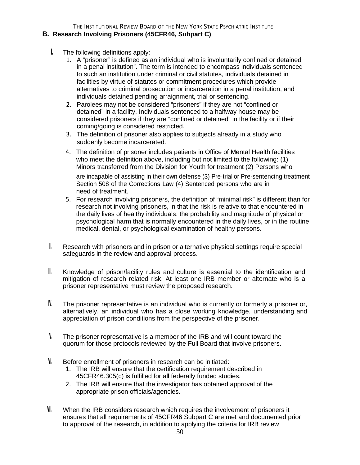# **B. Research Involving Prisoners (45CFR46, Subpart C)**

- $\mathsf{l}$ . The following definitions apply:
	- 1. A "prisoner" is defined as an individual who is involuntarily confined or detained in a penal institution". The term is intended to encompass individuals sentenced to such an institution under criminal or civil statutes, individuals detained in facilities by virtue of statutes or commitment procedures which provide alternatives to criminal prosecution or incarceration in a penal institution, and individuals detained pending arraignment, trial or sentencing.
	- 2. Parolees may not be considered "prisoners" if they are not "confined or detained" in a facility. Individuals sentenced to a halfway house may be considered prisoners if they are "confined or detained" in the facility or if their coming/going is considered restricted.
	- 3. The definition of prisoner also applies to subjects already in a study who suddenly become incarcerated.
	- 4. The definition of prisoner includes patients in Office of Mental Health facilities who meet the definition above, including but not limited to the following: (1) Minors transferred from the Division for Youth for treatment (2) Persons who

are incapable of assisting in their own defense (3) Pre‐trial or Pre-sentencing treatment Section 508 of the Corrections Law (4) Sentenced persons who are in need of treatment.

- 5. For research involving prisoners, the definition of "minimal risk" is different than for research not involving prisoners, in that the risk is relative to that encountered in the daily lives of healthy individuals: the probability and magnitude of physical or psychological harm that is normally encountered in the daily lives, or in the routine medical, dental, or psychological examination of healthy persons.
- II. Research with prisoners and in prison or alternative physical settings require special safeguards in the review and approval process.
- III. Knowledge of prison/facility rules and culture is essential to the identification and mitigation of research related risk. At least one IRB member or alternate who is a prisoner representative must review the proposed research.
- $\mathbb{N}$ . The prisoner representative is an individual who is currently or formerly a prisoner or, alternatively, an individual who has a close working knowledge, understanding and appreciation of prison conditions from the perspective of the prisoner.
- $V.$  The prisoner representative is a member of the IRB and will count toward the quorum for those protocols reviewed by the Full Board that involve prisoners.
- VI. Before enrollment of prisoners in research can be initiated:
	- 1. The IRB will ensure that the certification requirement described in 45CFR46.305(c) is fulfilled for all federally funded studies.
	- 2. The IRB will ensure that the investigator has obtained approval of the appropriate prison officials/agencies.
- VII. When the IRB considers research which requires the involvement of prisoners it ensures that all requirements of 45CFR46 Subpart C are met and documented prior to approval of the research, in addition to applying the criteria for IRB review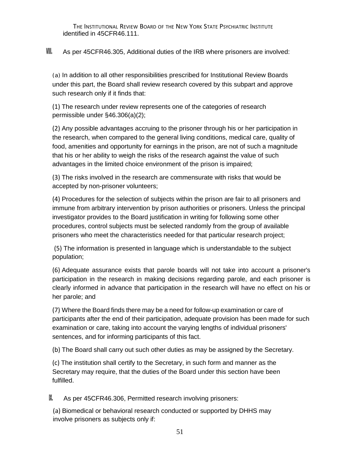THE INSTITUTIONAL REVIEW BOARD OF THE NEW YORK STATE PSYCHIATRIC INSTITUTE identified in 45CFR46.111.

VIII. As per 45CFR46.305, Additional duties of the IRB where prisoners are involved:

(a) In addition to all other responsibilities prescribed for Institutional Review Boards under this part, the Board shall review research covered by this subpart and approve such research only if it finds that:

(1) The research under review represents one of the categories of research permissible under §46.306(a)(2);

(2) Any possible advantages accruing to the prisoner through his or her participation in the research, when compared to the general living conditions, medical care, quality of food, amenities and opportunity for earnings in the prison, are not of such a magnitude that his or her ability to weigh the risks of the research against the value of such advantages in the limited choice environment of the prison is impaired;

(3) The risks involved in the research are commensurate with risks that would be accepted by non-prisoner volunteers;

(4) Procedures for the selection of subjects within the prison are fair to all prisoners and immune from arbitrary intervention by prison authorities or prisoners. Unless the principal investigator provides to the Board justification in writing for following some other procedures, control subjects must be selected randomly from the group of available prisoners who meet the characteristics needed for that particular research project;

(5) The information is presented in language which is understandable to the subject population;

(6) Adequate assurance exists that parole boards will not take into account a prisoner's participation in the research in making decisions regarding parole, and each prisoner is clearly informed in advance that participation in the research will have no effect on his or her parole; and

(7) Where the Board finds there may be a need for follow-up examination or care of participants after the end of their participation, adequate provision has been made for such examination or care, taking into account the varying lengths of individual prisoners' sentences, and for informing participants of this fact.

(b) The Board shall carry out such other duties as may be assigned by the Secretary.

(c) The institution shall certify to the Secretary, in such form and manner as the Secretary may require, that the duties of the Board under this section have been fulfilled.

IX. As per 45CFR46.306, Permitted research involving prisoners:

(a) Biomedical or behavioral research conducted or supported by DHHS may involve prisoners as subjects only if: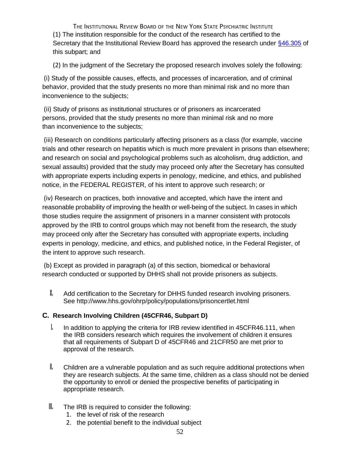THE INSTITUTIONAL REVIEW BOARD OF THE NEW YORK STATE PSYCHIATRIC INSTITUTE (1) The institution responsible for the conduct of the research has certified to the Secretary that the Institutional Review Board has approved the research under §46.305 of this subpart; and

(2) In the judgment of the Secretary the proposed research involves solely the following:

(i) Study of the possible causes, effects, and processes of incarceration, and of criminal behavior, provided that the study presents no more than minimal risk and no more than inconvenience to the subjects;

(ii) Study of prisons as institutional structures or of prisoners as incarcerated persons, provided that the study presents no more than minimal risk and no more than inconvenience to the subjects;

(iii) Research on conditions particularly affecting prisoners as a class (for example, vaccine trials and other research on hepatitis which is much more prevalent in prisons than elsewhere; and research on social and psychological problems such as alcoholism, drug addiction, and sexual assaults) provided that the study may proceed only after the Secretary has consulted with appropriate experts including experts in penology, medicine, and ethics, and published notice, in the FEDERAL REGISTER, of his intent to approve such research; or

(iv) Research on practices, both innovative and accepted, which have the intent and reasonable probability of improving the health or well-being of the subject. In cases in which those studies require the assignment of prisoners in a manner consistent with protocols approved by the IRB to control groups which may not benefit from the research, the study may proceed only after the Secretary has consulted with appropriate experts, including experts in penology, medicine, and ethics, and published notice, in the Federal Register, of the intent to approve such research.

(b) Except as provided in paragraph (a) of this section, biomedical or behavioral research conducted or supported by DHHS shall not provide prisoners as subjects.

X. Add certification to the Secretary for DHHS funded research involving prisoners. [See http://www.hhs.gov/ohrp/policy/populations/prisoncertlet.html](http://www.hhs.gov/ohrp/policy/populations/prisoncertlet.html)

# **C. Research Involving Children (45CFR46, Subpart D)**

- I. In addition to applying the criteria for IRB review identified in 45CFR46.111, when the IRB considers research which requires the involvement of children it ensures that all requirements of Subpart D of 45CFR46 and 21CFR50 are met prior to approval of the research.
- $\mathbb{I}$ . Children are a vulnerable population and as such require additional protections when they are research subjects. At the same time, children as a class should not be denied the opportunity to enroll or denied the prospective benefits of participating in appropriate research.
- $\mathbb{I}$  The IRB is required to consider the following:
	- 1. the level of risk of the research
	- 2. the potential benefit to the individual subject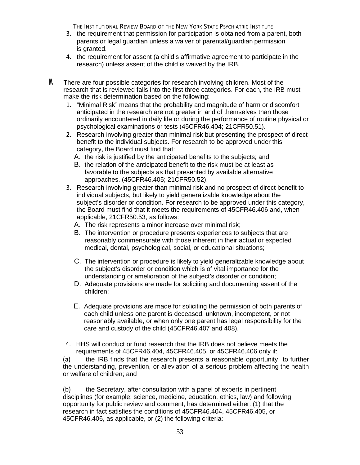- 3. the requirement that permission for participation is obtained from a parent, both parents or legal guardian unless a waiver of parental/guardian permission is granted.
- 4. the requirement for assent (a child's affirmative agreement to participate in the research) unless assent of the child is waived by the IRB.
- $\mathbb{N}$ . There are four possible categories for research involving children. Most of the research that is reviewed falls into the first three categories. For each, the IRB must make the risk determination based on the following:
	- 1. "Minimal Risk" means that the probability and magnitude of harm or discomfort anticipated in the research are not greater in and of themselves than those ordinarily encountered in daily life or during the performance of routine physical or psychological examinations or tests (45CFR46.404; 21CFR50.51).
	- 2. Research involving greater than minimal risk but presenting the prospect of direct benefit to the individual subjects. For research to be approved under this category, the Board must find that:
		- A. the risk is justified by the anticipated benefits to the subjects; and
		- B. the relation of the anticipated benefit to the risk must be at least as favorable to the subjects as that presented by available alternative approaches. (45CFR46.405; 21CFR50.52).
	- 3. Research involving greater than minimal risk and no prospect of direct benefit to individual subjects, but likely to yield generalizable knowledge about the subject's disorder or condition. For research to be approved under this category, the Board must find that it meets the requirements of 45CFR46.406 and, when applicable, 21CFR50.53, as follows:
		- A. The risk represents a minor increase over minimal risk;
		- B. The intervention or procedure presents experiences to subjects that are reasonably commensurate with those inherent in their actual or expected medical, dental, psychological, social, or educational situations;
		- C. The intervention or procedure is likely to yield generalizable knowledge about the subject's disorder or condition which is of vital importance for the understanding or amelioration of the subject's disorder or condition;
		- D. Adequate provisions are made for soliciting and documenting assent of the children;
		- E. Adequate provisions are made for soliciting the permission of both parents of each child unless one parent is deceased, unknown, incompetent, or not reasonably available, or when only one parent has legal responsibility for the care and custody of the child (45CFR46.407 and 408).
	- 4. HHS will conduct or fund research that the IRB does not believe meets the requirements of 45CFR46.404, 45CFR46.405, or 45CFR46.406 only if:

(a) the IRB finds that the research presents a reasonable opportunity to further the understanding, prevention, or alleviation of a serious problem affecting the health or welfare of children; and

(b) the Secretary, after consultation with a panel of experts in pertinent disciplines (for example: science, medicine, education, ethics, law) and following opportunity for public review and comment, has determined either: (1) that the research in fact satisfies the conditions of 45CFR46.404, 45CFR46.405, or 45CFR46.406, as applicable, or (2) the following criteria: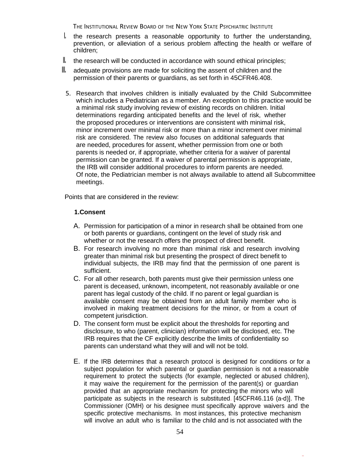- I. the research presents a reasonable opportunity to further the understanding, prevention, or alleviation of a serious problem affecting the health or welfare of children;
- $\parallel$ . the research will be conducted in accordance with sound ethical principles;
- III. adequate provisions are made for soliciting the assent of children and the permission of their parents or guardians, as set forth in 45CFR46.408.
- 5. Research that involves children is initially evaluated by the Child Subcommittee which includes a Pediatrician as a member. An exception to this practice would be a minimal risk study involving review of existing records on children. Initial determinations regarding anticipated benefits and the level of risk, whether the proposed procedures or interventions are consistent with minimal risk, minor increment over minimal risk or more than a minor increment over minimal risk are considered. The review also focuses on additional safeguards that are needed, procedures for assent, whether permission from one or both parents is needed or, if appropriate, whether criteria for a waiver of parental permission can be granted. If a waiver of parental permission is appropriate, the IRB will consider additional procedures to inform parents are needed. Of note, the Pediatrician member is not always available to attend all Subcommittee meetings.

Points that are considered in the review:

#### **1.Consent**

- A. Permission for participation of a minor in research shall be obtained from one or both parents or guardians, contingent on the level of study risk and whether or not the research offers the prospect of direct benefit.
- B. For research involving no more than minimal risk and research involving greater than minimal risk but presenting the prospect of direct benefit to individual subjects, the IRB may find that the permission of one parent is sufficient.
- C. For all other research, both parents must give their permission unless one parent is deceased, unknown, incompetent, not reasonably available or one parent has legal custody of the child. If no parent or legal guardian is available consent may be obtained from an adult family member who is involved in making treatment decisions for the minor, or from a court of competent jurisdiction.
- D. The consent form must be explicit about the thresholds for reporting and disclosure, to who (parent, clinician) information will be disclosed, etc. The IRB requires that the CF explicitly describe the limits of confidentiality so parents can understand what they will and will not be told.
- E. If the IRB determines that a research protocol is designed for conditions or for a subject population for which parental or guardian permission is not a reasonable requirement to protect the subjects (for example, neglected or abused children), it may waive the requirement for the permission of the parent(s) or guardian provided that an appropriate mechanism for protecting the minors who will participate as subjects in the research is substituted. [45CFR46.116 (a-d)]. The Commissioner (OMH) or his designee must specifically approve waivers and the specific protective mechanisms. In most instances, this protective mechanism will involve an adult who is familiar to the child and is not associated with the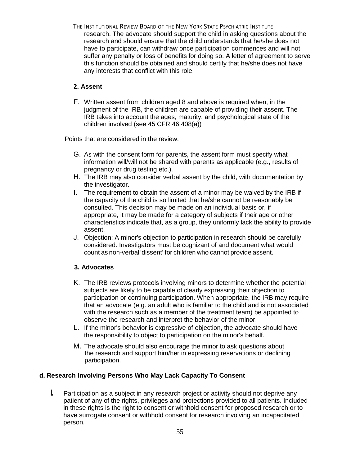THE INSTITUTIONAL REVIEW BOARD OF THE NEW YORK STATE PSYCHIATRIC INSTITUTE research. The advocate should support the child in asking questions about the research and should ensure that the child understands that he/she does not have to participate, can withdraw once participation commences and will not suffer any penalty or loss of benefits for doing so. A letter of agreement to serve this function should be obtained and should certify that he/she does not have any interests that conflict with this role.

# **2. Assent**

F. Written assent from children aged 8 and above is required when, in the judgment of the IRB, the children are capable of providing their assent. The IRB takes into account the ages, maturity, and psychological state of the children involved (see 45 CFR 46.408(a))

Points that are considered in the review:

- G. As with the consent form for parents, the assent form must specify what information will/will not be shared with parents as applicable (e.g., results of pregnancy or drug testing etc.).
- H. The IRB may also consider verbal assent by the child, with documentation by the investigator.
- I. The requirement to obtain the assent of a minor may be waived by the IRB if the capacity of the child is so limited that he/she cannot be reasonably be consulted. This decision may be made on an individual basis or, if appropriate, it may be made for a category of subjects if their age or other characteristics indicate that, as a group, they uniformly lack the ability to provide assent.
- J. Objection: A minor's objection to participation in research should be carefully considered. Investigators must be cognizant of and document what would count as non-verbal 'dissent' for children who cannot provide assent.

# **3. Advocates**

- K. The IRB reviews protocols involving minors to determine whether the potential subjects are likely to be capable of clearly expressing their objection to participation or continuing participation. When appropriate, the IRB may require that an advocate (e.g. an adult who is familiar to the child and is not associated with the research such as a member of the treatment team) be appointed to observe the research and interpret the behavior of the minor.
- L. If the minor's behavior is expressive of objection, the advocate should have the responsibility to object to participation on the minor's behalf.
- M. The advocate should also encourage the minor to ask questions about the research and support him/her in expressing reservations or declining participation.

# **d. Research Involving Persons Who May Lack Capacity To Consent**

I. Participation as a subject in any research project or activity should not deprive any patient of any of the rights, privileges and protections provided to all patients. Included in these rights is the right to consent or withhold consent for proposed research or to have surrogate consent or withhold consent for research involving an incapacitated person.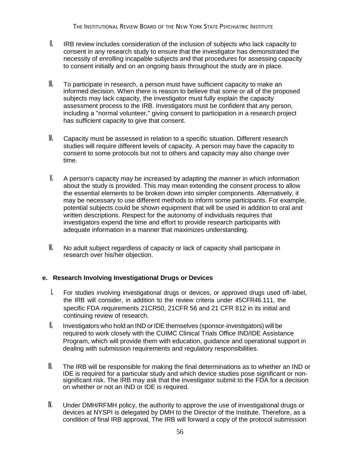- $\parallel$ . IRB review includes consideration of the inclusion of subjects who lack capacity to consent in any research study to ensure that the investigator has demonstrated the necessity of enrolling incapable subjects and that procedures for assessing capacity to consent initially and on an ongoing basis throughout the study are in place.
- $\mathbb{I}$  To participate in research, a person must have sufficient capacity to make an informed decision. When there is reason to believe that some or all of the proposed subjects may lack capacity, the investigator must fully explain the capacity assessment process to the IRB. Investigators must be confident that any person, including a "normal volunteer," giving consent to participation in a research project has sufficient capacity to give that consent.
- $\mathbb{N}$ . Capacity must be assessed in relation to a specific situation. Different research studies will require different levels of capacity. A person may have the capacity to consent to some protocols but not to others and capacity may also change over time.
- $V.$  A person's capacity may be increased by adapting the manner in which information about the study is provided. This may mean extending the consent process to allow the essential elements to be broken down into simpler components. Alternatively, it may be necessary to use different methods to inform some participants. For example, potential subjects could be shown equipment that will be used in addition to oral and written descriptions. Respect for the autonomy of individuals requires that investigators expend the time and effort to provide research participants with adequate information in a manner that maximizes understanding.
- VI. No adult subject regardless of capacity or lack of capacity shall participate in research over his/her objection.

# **e. Research Involving Investigational Drugs or Devices**

- I. For studies involving investigational drugs or devices, or approved drugs used off-label, the IRB will consider, in addition to the review criteria under 45CFR46.111, the specific FDA requirements 21CR50, 21CFR 56 and 21 CFR 812 in its initial and continuing review of research.
- $\|$ . Investigators who hold an IND or IDE themselves (sponsor-investigators) will be required to work closely with the CUIMC Clinical Trials Office IND/IDE Assistance Program, which will provide them with education, guidance and operational support in dealing with submission requirements and regulatory responsibilities.
- $\|$ . The IRB will be responsible for making the final determinations as to whether an IND or IDE is required for a particular study and which device studies pose significant or nonsignificant risk. The IRB may ask that the investigator submit to the FDA for a decision on whether or not an IND or IDE is required.
- $\mathbb{N}$ . Under DMH/RFMH policy, the authority to approve the use of investigational drugs or devices at NYSPI is delegated by DMH to the Director of the Institute. Therefore, as a condition of final IRB approval, The IRB will forward a copy of the protocol submission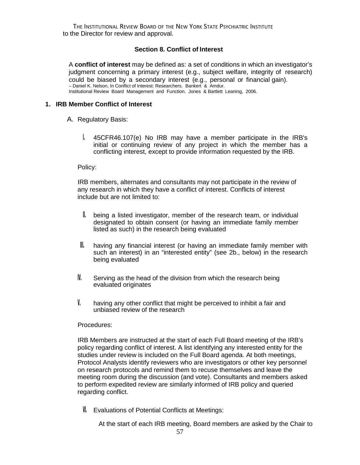THE INSTITUTIONAL REVIEW BOARD OF THE NEW YORK STATE PSYCHIATRIC INSTITUTE to the Director for review and approval.

#### **Section 8. Conflict of Interest**

A **conflict of interest** may be defined as: a set of conditions in which an investigator's judgment concerning a primary interest (e.g., subject welfare, integrity of research) could be biased by a secondary interest (e.g., personal or financial gain). – Daniel K. Nelson, In Conflict of Interest: Researchers. Bankert & Amdur. Institutional Review Board Management and Function. Jones & Bartlett Leaning, 2006*.*

#### **1. IRB Member Conflict of Interest**

#### A. Regulatory Basis:

I. 45CFR46.107(e) No IRB may have a member participate in the IRB's initial or continuing review of any project in which the member has a conflicting interest, except to provide information requested by the IRB.

Policy:

IRB members, alternates and consultants may not participate in the review of any research in which they have a conflict of interest. Conflicts of interest include but are not limited to:

- II. being a listed investigator, member of the research team, or individual designated to obtain consent (or having an immediate family member listed as such) in the research being evaluated
- III. having any financial interest (or having an immediate family member with such an interest) in an "interested entity" (see 2b., below) in the research being evaluated
- $\mathbb{N}$ . Serving as the head of the division from which the research being evaluated originates
- $\mathbb{V}$  having any other conflict that might be perceived to inhibit a fair and unbiased review of the research

#### Procedures:

IRB Members are instructed at the start of each Full Board meeting of the IRB's policy regarding conflict of interest. A list identifying any interested entity for the studies under review is included on the Full Board agenda. At both meetings, Protocol Analysts identify reviewers who are investigators or other key personnel on research protocols and remind them to recuse themselves and leave the meeting room during the discussion (and vote). Consultants and members asked to perform expedited review are similarly informed of IRB policy and queried regarding conflict.

**VI.** Evaluations of Potential Conflicts at Meetings:

At the start of each IRB meeting, Board members are asked by the Chair to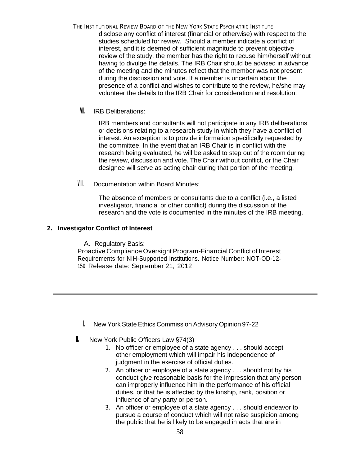- THE INSTITUTIONAL REVIEW BOARD OF THE NEW YORK STATE PSYCHIATRIC INSTITUTE disclose any conflict of interest (financial or otherwise) with respect to the studies scheduled for review. Should a member indicate a conflict of interest, and it is deemed of sufficient magnitude to prevent objective review of the study, the member has the right to recuse him/herself without having to divulge the details. The IRB Chair should be advised in advance of the meeting and the minutes reflect that the member was not present during the discussion and vote. If a member is uncertain about the presence of a conflict and wishes to contribute to the review, he/she may volunteer the details to the IRB Chair for consideration and resolution.
	- **WI.** IRB Deliberations:

IRB members and consultants will not participate in any IRB deliberations or decisions relating to a research study in which they have a conflict of interest. An exception is to provide information specifically requested by the committee. In the event that an IRB Chair is in conflict with the research being evaluated, he will be asked to step out of the room during the review, discussion and vote. The Chair without conflict, or the Chair designee will serve as acting chair during that portion of the meeting.

**VIII.** Documentation within Board Minutes:

The absence of members or consultants due to a conflict (i.e., a listed investigator, financial or other conflict) during the discussion of the research and the vote is documented in the minutes of the IRB meeting.

#### **2. Investigator Conflict of Interest**

A. Regulatory Basis:

Proactive Compliance Oversight Program-Financial Conflict of Interest Requirements for NIH-Supported Institutions. Notice Number: NOT-OD-12‐ 159. Release date: September 21, 2012

- I. New York State Ethics Commission Advisory Opinion 97-22
- $\parallel$ . New York Public Officers Law §74(3)
	- 1. No officer or employee of a state agency . . . should accept other employment which will impair his independence of judgment in the exercise of official duties.
	- 2. An officer or employee of a state agency . . . should not by his conduct give reasonable basis for the impression that any person can improperly influence him in the performance of his official duties, or that he is affected by the kinship, rank, position or influence of any party or person.
	- 3. An officer or employee of a state agency . . . should endeavor to pursue a course of conduct which will not raise suspicion among the public that he is likely to be engaged in acts that are in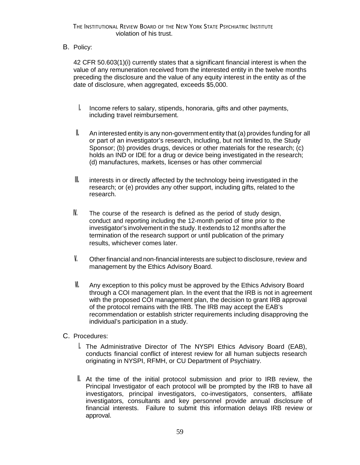B. Policy:

42 CFR 50.603(1)(i) currently states that a significant financial interest is when the value of any remuneration received from the interested entity in the twelve months preceding the disclosure and the value of any equity interest in the entity as of the date of disclosure, when aggregated, exceeds \$5,000.

- I. Income refers to salary, stipends, honoraria, gifts and other payments, including travel reimbursement.
- $\|$ . An interested entity is any non-government entity that (a) provides funding for all or part of an investigator's research, including, but not limited to, the Study Sponsor; (b) provides drugs, devices or other materials for the research; (c) holds an IND or IDE for a drug or device being investigated in the research; (d) manufactures, markets, licenses or has other commercial
- $\mathbb{I}$  interests in or directly affected by the technology being investigated in the research; or (e) provides any other support, including gifts, related to the research.
- $\mathbb{I}$ . The course of the research is defined as the period of study design, conduct and reporting including the 12-month period of time prior to the investigator's involvement in the study. It extends to 12 months after the termination of the research support or until publication of the primary results, whichever comes later.
- V. Other financial and non-financial interests are subject to disclosure, review and management by the Ethics Advisory Board.
- VI. Any exception to this policy must be approved by the Ethics Advisory Board through a COI management plan. In the event that the IRB is not in agreement with the proposed COI management plan, the decision to grant IRB approval of the protocol remains with the IRB. The IRB may accept the EAB's recommendation or establish stricter requirements including disapproving the individual's participation in a study.
- C. Procedures:
	- I. The Administrative Director of The NYSPI Ethics Advisory Board (EAB), conducts financial conflict of interest review for all human subjects research originating in NYSPI, RFMH, or CU Department of Psychiatry.
	- II. At the time of the initial protocol submission and prior to IRB review, the Principal Investigator of each protocol will be prompted by the IRB to have all investigators, principal investigators, co-investigators, consenters, affiliate investigators, consultants and key personnel provide annual disclosure of financial interests. Failure to submit this information delays IRB review or approval.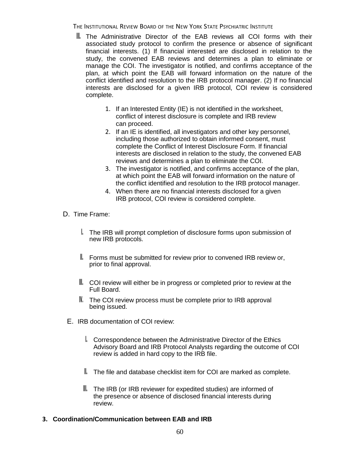- III. The Administrative Director of the EAB reviews all COI forms with their associated study protocol to confirm the presence or absence of significant financial interests. (1) If financial interested are disclosed in relation to the study, the convened EAB reviews and determines a plan to eliminate or manage the COI. The investigator is notified, and confirms acceptance of the plan, at which point the EAB will forward information on the nature of the conflict identified and resolution to the IRB protocol manager. (2) If no financial interests are disclosed for a given IRB protocol, COI review is considered complete.
	- 1. If an Interested Entity (IE) is not identified in the worksheet, conflict of interest disclosure is complete and IRB review can proceed.
	- 2. If an IE is identified, all investigators and other key personnel, including those authorized to obtain informed consent, must complete the Conflict of Interest Disclosure Form. If financial interests are disclosed in relation to the study, the convened EAB reviews and determines a plan to eliminate the COI.
	- 3. The investigator is notified, and confirms acceptance of the plan, at which point the EAB will forward information on the nature of the conflict identified and resolution to the IRB protocol manager.
	- 4. When there are no financial interests disclosed for a given IRB protocol, COI review is considered complete.
- D. Time Frame:
	- I. The IRB will prompt completion of disclosure forms upon submission of new IRB protocols.
	- II. Forms must be submitted for review prior to convened IRB review or, prior to final approval.
	- III. COI review will either be in progress or completed prior to review at the Full Board.
	- IV. The COI review process must be complete prior to IRB approval being issued.
	- E. IRB documentation of COI review:
		- I. Correspondence between the Administrative Director of the Ethics Advisory Board and IRB Protocol Analysts regarding the outcome of COI review is added in hard copy to the IRB file.
		- I. The file and database checklist item for COI are marked as complete.
		- III. The IRB (or IRB reviewer for expedited studies) are informed of the presence or absence of disclosed financial interests during review.
- **3. Coordination/Communication between EAB and IRB**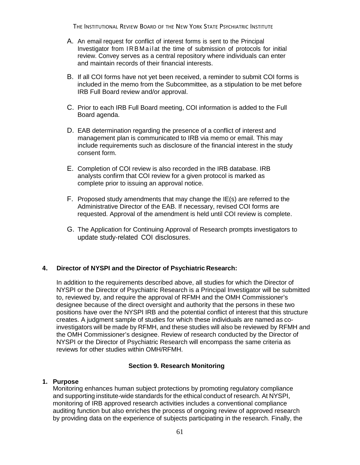- A. An email request for conflict of interest forms is sent to the Principal Investigator from IRBMail at the time of submission of protocols for initial review. Convey serves as a central repository where individuals can enter and maintain records of their financial interests.
- B. If all COI forms have not yet been received, a reminder to submit COI forms is included in the memo from the Subcommittee, as a stipulation to be met before IRB Full Board review and/or approval.
- C. Prior to each IRB Full Board meeting, COI information is added to the Full Board agenda.
- D. EAB determination regarding the presence of a conflict of interest and management plan is communicated to IRB via memo or email. This may include requirements such as disclosure of the financial interest in the study consent form.
- E. Completion of COI review is also recorded in the IRB database. IRB analysts confirm that COI review for a given protocol is marked as complete prior to issuing an approval notice.
- F. Proposed study amendments that may change the IE(s) are referred to the Administrative Director of the EAB. If necessary, revised COI forms are requested. Approval of the amendment is held until COI review is complete.
- G. The Application for Continuing Approval of Research prompts investigators to update study‐related COI disclosures.

# **4. Director of NYSPI and the Director of Psychiatric Research:**

In addition to the requirements described above, all studies for which the Director of NYSPI or the Director of Psychiatric Research is a Principal Investigator will be submitted to, reviewed by, and require the approval of RFMH and the OMH Commissioner's designee because of the direct oversight and authority that the persons in these two positions have over the NYSPI IRB and the potential conflict of interest that this structure creates. A judgment sample of studies for which these individuals are named as coinvestigators will be made by RFMH, and these studies will also be reviewed by RFMH and the OMH Commissioner's designee. Review of research conducted by the Director of NYSPI or the Director of Psychiatric Research will encompass the same criteria as reviews for other studies within OMH/RFMH.

# **Section 9. Research Monitoring**

# **1. Purpose**

Monitoring enhances human subject protections by promoting regulatory compliance and supporting institute-wide standards for the ethical conduct of research. At NYSPI, monitoring of IRB approved research activities includes a conventional compliance auditing function but also enriches the process of ongoing review of approved research by providing data on the experience of subjects participating in the research. Finally, the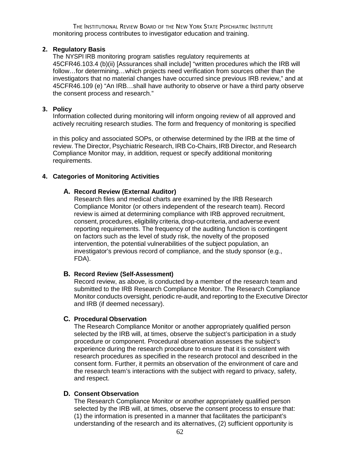THE INSTITUTIONAL REVIEW BOARD OF THE NEW YORK STATE PSYCHIATRIC INSTITUTE monitoring process contributes to investigator education and training.

### **2. Regulatory Basis**

The NYSPI IRB monitoring program satisfies regulatory requirements at 45CFR46.103.4 (b)(ii) [Assurances shall include] "written procedures which the IRB will follow…for determining…which projects need verification from sources other than the investigators that no material changes have occurred since previous IRB review," and at 45CFR46.109 (e) "An IRB…shall have authority to observe or have a third party observe the consent process and research."

## **3. Policy**

Information collected during monitoring will inform ongoing review of all approved and actively recruiting research studies. The form and frequency of monitoring is specified

in this policy and associated SOPs, or otherwise determined by the IRB at the time of review. The Director, Psychiatric Research, IRB Co-Chairs, IRB Director, and Research Compliance Monitor may, in addition, request or specify additional monitoring requirements.

## **4. Categories of Monitoring Activities**

## **A. Record Review (External Auditor)**

Research files and medical charts are examined by the IRB Research Compliance Monitor (or others independent of the research team). Record review is aimed at determining compliance with IRB approved recruitment, consent, procedures, eligibility criteria, drop-outcriteria, and adverse event reporting requirements. The frequency of the auditing function is contingent on factors such as the level of study risk, the novelty of the proposed intervention, the potential vulnerabilities of the subject population, an investigator's previous record of compliance, and the study sponsor (e.g., FDA).

#### **B. Record Review (Self-Assessment)**

Record review, as above, is conducted by a member of the research team and submitted to the IRB Research Compliance Monitor. The Research Compliance Monitor conducts oversight, periodic re-audit, and reporting to the Executive Director and IRB (if deemed necessary).

# **C. Procedural Observation**

The Research Compliance Monitor or another appropriately qualified person selected by the IRB will, at times, observe the subject's participation in a study procedure or component. Procedural observation assesses the subject's experience during the research procedure to ensure that it is consistent with research procedures as specified in the research protocol and described in the consent form. Further, it permits an observation of the environment of care and the research team's interactions with the subject with regard to privacy, safety, and respect.

### **D. Consent Observation**

The Research Compliance Monitor or another appropriately qualified person selected by the IRB will, at times, observe the consent process to ensure that: (1) the information is presented in a manner that facilitates the participant's understanding of the research and its alternatives, (2) sufficient opportunity is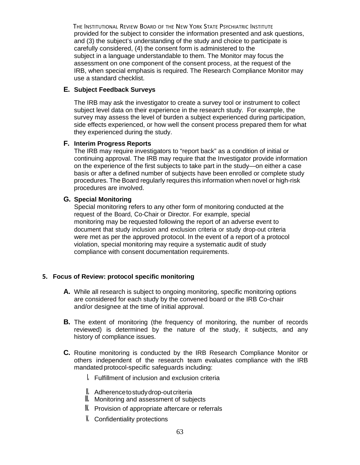THE INSTITUTIONAL REVIEW BOARD OF THE NEW YORK STATE PSYCHIATRIC INSTITUTE provided for the subject to consider the information presented and ask questions, and (3) the subject's understanding of the study and choice to participate is carefully considered, (4) the consent form is administered to the subject in a language understandable to them. The Monitor may focus the assessment on one component of the consent process, at the request of the IRB, when special emphasis is required. The Research Compliance Monitor may use a standard checklist.

## **E. Subject Feedback Surveys**

The IRB may ask the investigator to create a survey tool or instrument to collect subject level data on their experience in the research study. For example, the survey may assess the level of burden a subject experienced during participation, side effects experienced, or how well the consent process prepared them for what they experienced during the study.

## **F. Interim Progress Reports**

The IRB may require investigators to "report back" as a condition of initial or continuing approval. The IRB may require that the Investigator provide information on the experience of the first subjects to take part in the study—on either a case basis or after a defined number of subjects have been enrolled or complete study procedures. The Board regularly requires this information when novel or high-risk procedures are involved.

## **G. Special Monitoring**

Special monitoring refers to any other form of monitoring conducted at the request of the Board, Co-Chair or Director. For example, special monitoring may be requested following the report of an adverse event to document that study inclusion and exclusion criteria or study drop‐out criteria were met as per the approved protocol. In the event of a report of a protocol violation, special monitoring may require a systematic audit of study compliance with consent documentation requirements.

# **5. Focus of Review: protocol specific monitoring**

- **A.** While all research is subject to ongoing monitoring, specific monitoring options are considered for each study by the convened board or the IRB Co-chair and/or designee at the time of initial approval.
- **B.** The extent of monitoring (the frequency of monitoring, the number of records reviewed) is determined by the nature of the study, it subjects, and any history of compliance issues.
- **C.** Routine monitoring is conducted by the IRB Research Compliance Monitor or others independent of the research team evaluates compliance with the IRB mandated protocol-specific safeguards including:
	- I. Fulfillment of inclusion and exclusion criteria
	- II. Adherencetostudydrop-outcriteria
	- III. Monitoring and assessment of subjects
	- IV. Provision of appropriate aftercare or referrals
	- V. Confidentiality protections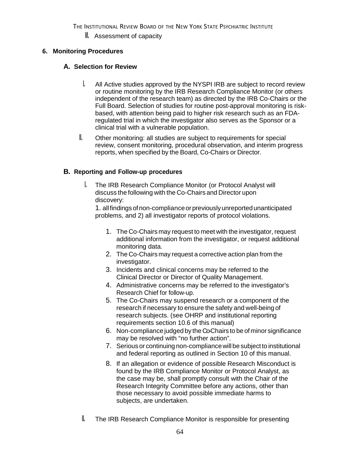VI. Assessment of capacity

# **6. Monitoring Procedures**

# **A. Selection for Review**

- I. All Active studies approved by the NYSPI IRB are subject to record review or routine monitoring by the IRB Research Compliance Monitor (or others independent of the research team) as directed by the IRB Co-Chairs or the Full Board. Selection of studies for routine post-approval monitoring is riskbased, with attention being paid to higher risk research such as an FDAregulated trial in which the investigator also serves as the Sponsor or a clinical trial with a vulnerable population.
- $\mathbb{I}$ . Other monitoring: all studies are subject to requirements for special review, consent monitoring, procedural observation, and interim progress reports, when specified by the Board, Co-Chairs or Director.

# **B. Reporting and Follow-up procedures**

I. The IRB Research Compliance Monitor (or Protocol Analyst will discuss the following with the Co-Chairs and Director upon discovery:

1. all findings of non-compliance or previously unreported unanticipated problems, and 2) all investigator reports of protocol violations.

- 1. The Co-Chairs may request to meet with the investigator, request additional information from the investigator, or request additional monitoring data.
- 2. The Co-Chairs may request a corrective action plan from the investigator.
- 3. Incidents and clinical concerns may be referred to the Clinical Director or Director of Quality Management.
- 4. Administrative concerns may be referred to the investigator's Research Chief for follow-up.
- 5. The Co-Chairs may suspend research or a component of the research if necessary to ensure the safety and well-being of research subjects. (see OHRP and institutional reporting requirements section 10.6 of this manual)
- 6. Non-compliance judged by the Co-Chairs to be of minor significance may be resolved with "no further action".
- 7. Serious or continuing non-compliancewill be subject to institutional and federal reporting as outlined in Section 10 of this manual.
- 8. If an allegation or evidence of possible Research Misconduct is found by the IRB Compliance Monitor or Protocol Analyst, as the case may be, shall promptly consult with the Chair of the Research Integrity Committee before any actions, other than those necessary to avoid possible immediate harms to subjects, are undertaken.
- II. The IRB Research Compliance Monitor is responsible for presenting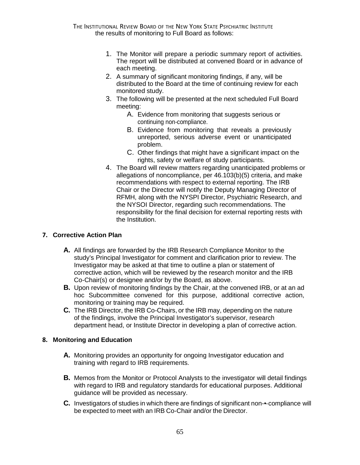THE INSTITUTIONAL REVIEW BOARD OF THE NEW YORK STATE PSYCHIATRIC INSTITUTE the results of monitoring to Full Board as follows:

- 1. The Monitor will prepare a periodic summary report of activities. The report will be distributed at convened Board or in advance of each meeting.
- 2. A summary of significant monitoring findings, if any, will be distributed to the Board at the time of continuing review for each monitored study.
- 3. The following will be presented at the next scheduled Full Board meeting:
	- A. Evidence from monitoring that suggests serious or continuing non-compliance.
	- B. Evidence from monitoring that reveals a previously unreported, serious adverse event or unanticipated problem.
	- C. Other findings that might have a significant impact on the rights, safety or welfare of study participants.
- 4. The Board will review matters regarding unanticipated problems or allegations of noncompliance, per 46.103(b)(5) criteria, and make recommendations with respect to external reporting. The IRB Chair or the Director will notify the Deputy Managing Director of RFMH, along with the NYSPI Director, Psychiatric Research, and the NYSOI Director, regarding such recommendations. The responsibility for the final decision for external reporting rests with the Institution.

# **7. Corrective Action Plan**

- **A.** All findings are forwarded by the IRB Research Compliance Monitor to the study's Principal Investigator for comment and clarification prior to review. The Investigator may be asked at that time to outline a plan or statement of corrective action, which will be reviewed by the research monitor and the IRB Co-Chair(s) or designee and/or by the Board, as above.
- **B.** Upon review of monitoring findings by the Chair, at the convened IRB, or at an ad hoc Subcommittee convened for this purpose, additional corrective action, monitoring or training may be required.
- **C.** The IRB Director, the IRB Co-Chairs, or the IRB may, depending on the nature of the findings, involve the Principal Investigator's supervisor, research department head, or Institute Director in developing a plan of corrective action.

#### **8. Monitoring and Education**

- **A.** Monitoring provides an opportunity for ongoing Investigator education and training with regard to IRB requirements.
- **B.** Memos from the Monitor or Protocol Analysts to the investigator will detail findings with regard to IRB and regulatory standards for educational purposes. Additional guidance will be provided as necessary.
- **C.** Investigators of studies in which there are findings of significant non-•‐compliance will be expected to meet with an IRB Co-Chair and/or the Director.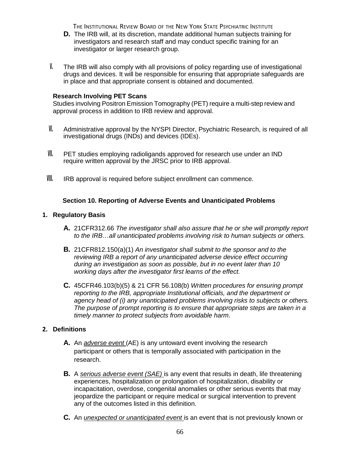- **D.** The IRB will, at its discretion, mandate additional human subjects training for investigators and research staff and may conduct specific training for an investigator or larger research group.
- $V.$  The IRB will also comply with all provisions of policy regarding use of investigational drugs and devices. It will be responsible for ensuring that appropriate safeguards are in place and that appropriate consent is obtained and documented.

## **Research Involving PET Scans**

Studies involving Positron Emission Tomography (PET) require a multi-step review and approval process in addition to IRB review and approval.

- VI. Administrative approval by the NYSPI Director, Psychiatric Research, is required of all investigational drugs (INDs) and devices (IDEs).
- VII. PET studies employing radioligands approved for research use under an IND require written approval by the JRSC prior to IRB approval.
- WIII. IRB approval is required before subject enrollment can commence.

# **Section 10. Reporting of Adverse Events and Unanticipated Problems**

## **1. Regulatory Basis**

- **A.** 21CFR312.66 *The investigator shall also assure that he or she will promptly report to the IRB…all unanticipated problems involving risk to human subjects or others.*
- **B.** 21CFR812.150(a)(1) *An investigator shall submit to the sponsor and to the reviewing IRB a report of any unanticipated adverse device effect occurring during an investigation as soon as possible, but in no event later than 10 working days after the investigator first learns of the effect.*
- **C.** 45CFR46.103(b)(5) & 21 CFR 56.108(b) *Written procedures for ensuring prompt reporting to the IRB, appropriate Institutional officials, and the department or agency head of (i) any unanticipated problems involving risks to subjects or others. The purpose of prompt reporting is to ensure that appropriate steps are taken in a timely manner to protect subjects from avoidable harm*.

# **2. Definitions**

- **A.** An *adverse event* (AE) is any untoward event involving the research participant or others that is temporally associated with participation in the research.
- **B.** A *serious adverse event (SAE)* is any event that results in death, life threatening experiences, hospitalization or prolongation of hospitalization, disability or incapacitation, overdose, congenital anomalies or other serious events that may jeopardize the participant or require medical or surgical intervention to prevent any of the outcomes listed in this definition.
- **C.** An *unexpected or unanticipated event* is an event that is not previously known or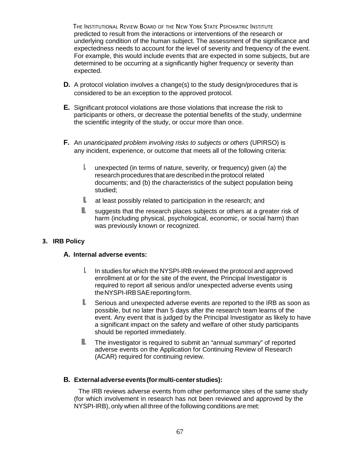THE INSTITUTIONAL REVIEW BOARD OF THE NEW YORK STATE PSYCHIATRIC INSTITUTE predicted to result from the interactions or interventions of the research or underlying condition of the human subject. The assessment of the significance and expectedness needs to account for the level of severity and frequency of the event. For example, this would include events that are expected in some subjects, but are determined to be occurring at a significantly higher frequency or severity than expected.

- **D.** A protocol violation involves a change(s) to the study design/procedures that is considered to be an exception to the approved protocol.
- **E.** Significant protocol violations are those violations that increase the risk to participants or others, or decrease the potential benefits of the study, undermine the scientific integrity of the study, or occur more than once.
- **F.** An *unanticipated problem involving risks to subjects or others* (UPIRSO) is any incident, experience, or outcome that meets all of the following criteria:
	- I. unexpected (in terms of nature, severity, or frequency) given (a) the research procedures that are described in the protocol related documents; and (b) the characteristics of the subject population being studied;
	- II. at least possibly related to participation in the research; and
	- $\|$  suggests that the research places subjects or others at a greater risk of harm (including physical, psychological, economic, or social harm) than was previously known or recognized.

# **3. IRB Policy**

#### **A. Internal adverse events:**

- $\parallel$  In studies for which the NYSPI-IRB reviewed the protocol and approved enrollment at or for the site of the event, the Principal Investigator is required to report all serious and/or unexpected adverse events using theNYSPI-IRBSAEreportingform.
- II. Serious and unexpected adverse events are reported to the IRB as soon as possible, but no later than 5 days after the research team learns of the event. Any event that is judged by the Principal Investigator as likely to have a significant impact on the safety and welfare of other study participants should be reported immediately.
- $\|$ . The investigator is required to submit an "annual summary" of reported adverse events on the Application for Continuing Review of Research (ACAR) required for continuing review.

#### **B. Externaladverseevents(formulti-centerstudies):**

The IRB reviews adverse events from other performance sites of the same study (for which involvement in research has not been reviewed and approved by the NYSPI-IRB), only when all three of the following conditions are met: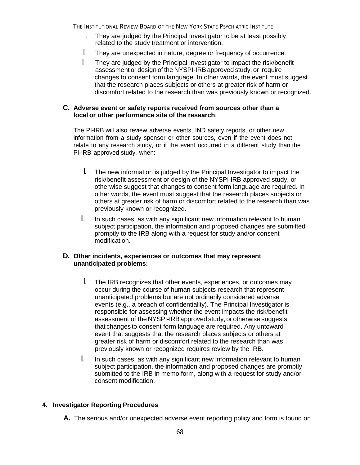- I. They are judged by the Principal Investigator to be at least possibly related to the study treatment or intervention.
- $\mathbb{I}$ . They are unexpected in nature, degree or frequency of occurrence.
- III. They are judged by the Principal Investigator to impact the risk/benefit assessment or design of the NYSPI-IRBapproved study, or require changes to consent form language. In other words, the event must suggest that the research places subjects or others at greater risk of harm or discomfort related to the research than was previously known or recognized.

#### **C. Adverse event or safety reports received from sources other than a local or other performance site of the research**:

The PI-IRB will also review adverse events, IND safety reports, or other new information from a study sponsor or other sources, even if the event does not relate to any research study, or if the event occurred in a different study than the PI-IRB approved study, when:

- I. The new information is judged by the Principal Investigator to impact the risk/benefit assessment or design of the NYSPI IRB approved study, or otherwise suggest that changes to consent form language are required. In other words, the event must suggest that the research places subjects or others at greater risk of harm or discomfort related to the research than was previously known or recognized.
- $\mathbb{I}$ . In such cases, as with any significant new information relevant to human subject participation, the information and proposed changes are submitted promptly to the IRB along with a request for study and/or consent modification.

## **D. Other incidents, experiences or outcomes that may represent unanticipated problems:**

- I. The IRB recognizes that other events, experiences, or outcomes may occur during the course of human subjects research that represent unanticipated problems but are not ordinarily considered adverse events (e.g., a breach of confidentiality). The Principal Investigator is responsible for assessing whether the event impacts the risk/benefit assessment of the NYSPI-IRBapproved study, or otherwise suggests that changes to consent form language are required. Any untoward event that suggests that the research places subjects or others at greater risk of harm or discomfort related to the research than was previously known or recognized requires review by the IRB.
- $\|$ . In such cases, as with any significant new information relevant to human subject participation, the information and proposed changes are promptly submitted to the IRB in memo form, along with a request for study and/or consent modification.

# **4. Investigator Reporting Procedures**

**A.** The serious and/or unexpected adverse event reporting policy and form is found on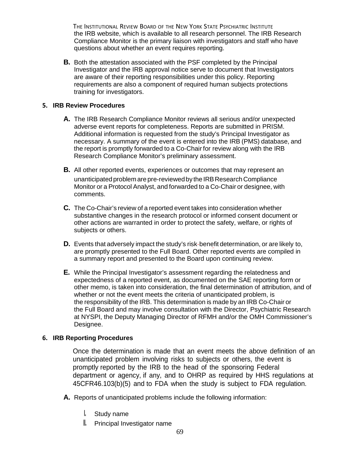THE INSTITUTIONAL REVIEW BOARD OF THE NEW YORK STATE PSYCHIATRIC INSTITUTE the IRB website, which is available to all research personnel. The IRB Research Compliance Monitor is the primary liaison with investigators and staff who have questions about whether an event requires reporting.

**B.** Both the attestation associated with the PSF completed by the Principal Investigator and the IRB approval notice serve to document that Investigators are aware of their reporting responsibilities under this policy. Reporting requirements are also a component of required human subjects protections training for investigators.

# **5. IRB Review Procedures**

- **A.** The IRB Research Compliance Monitor reviews all serious and/or unexpected adverse event reports for completeness. Reports are submitted in PRISM. Additional information is requested from the study's Principal Investigator as necessary. A summary of the event is entered into the IRB (PMS) database, and the report is promptly forwarded to a Co-Chairfor review along with the IRB Research Compliance Monitor's preliminary assessment.
- **B.** All other reported events, experiences or outcomes that may represent an unanticipated problem are pre-reviewed by the IRB Research Compliance Monitor or a Protocol Analyst, and forwarded to a Co-Chair or designee, with comments.
- **C.** The Co-Chair's review of a reported event takes into consideration whether substantive changes in the research protocol or informed consent document or other actions are warranted in order to protect the safety, welfare, or rights of subjects or others.
- **D.** Events that adversely impact the study's risk-benefit determination, or are likely to, are promptly presented to the Full Board. Other reported events are compiled in a summary report and presented to the Board upon continuing review.
- **E.** While the Principal Investigator's assessment regarding the relatedness and expectedness of a reported event, as documented on the SAE reporting form or other memo, is taken into consideration, the final determination of attribution, and of whether or not the event meets the criteria of unanticipated problem, is the responsibility of the IRB. This determination is made by an IRB Co-Chair or the Full Board and may involve consultation with the Director, Psychiatric Research at NYSPI, the Deputy Managing Director of RFMH and/or the OMH Commissioner's Designee.

# **6. IRB Reporting Procedures**

Once the determination is made that an event meets the above definition of an unanticipated problem involving risks to subjects or others, the event is promptly reported by the IRB to the head of the sponsoring Federal department or agency, if any, and to OHRP as required by HHS regulations at 45CFR46.103(b)(5) and to FDA when the study is subject to FDA regulation.

- **A.** Reports of unanticipated problems include the following information:
	- I. Study name
	- II. Principal Investigator name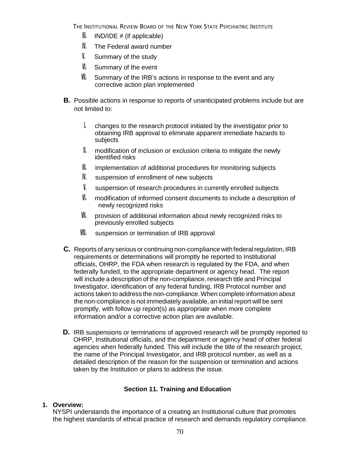- $\parallel\parallel$ . IND/IDE # (if applicable)
- IV. The Federal award number
- V. Summary of the study
- VI. Summary of the event
- **WII.** Summary of the IRB's actions in response to the event and any corrective action plan implemented
- **B.** Possible actions in response to reports of unanticipated problems include but are not limited to:
	- I. changes to the research protocol initiated by the investigator prior to obtaining IRB approval to eliminate apparent immediate hazards to subjects
	- $\mathbb{I}$ . modification of inclusion or exclusion criteria to mitigate the newly identified risks
	- III. implementation of additional procedures for monitoring subjects
	- IV. suspension of enrollment of new subjects
	- V. suspension of research procedures in currently enrolled subjects
	- VI. modification of informed consent documents to include a description of newly recognized risks
	- VII. provision of additional information about newly recognized risks to previously enrolled subjects
	- **VIII.** suspension or termination of IRB approval
- **C.** Reports of any serious or continuing non-compliance with federal regulation, IRB requirements or determinations will promptly be reported to Institutional officials, OHRP, the FDA when research is regulated by the FDA, and when federally funded, to the appropriate department or agency head. The report will include a description of the non-compliance, research title and Principal Investigator, identification of any federal funding, IRB Protocol number and actions taken to address the non-compliance.When complete information about the non-compliance is not immediately available, an initial report will be sent promptly, with follow up report(s) as appropriate when more complete information and/or a corrective action plan are available.
- **D.** IRB suspensions or terminations of approved research will be promptly reported to OHRP, Institutional officials, and the department or agency head of other federal agencies when federally funded. This will include the title of the research project, the name of the Principal Investigator, and IRB protocol number, as well as a detailed description of the reason for the suspension or termination and actions taken by the Institution or plans to address the issue.

# **Section 11. Training and Education**

#### **1. Overview:**

NYSPI understands the importance of a creating an Institutional culture that promotes the highest standards of ethical practice of research and demands regulatory compliance.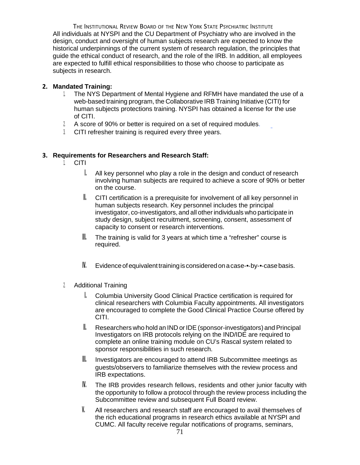THE INSTITUTIONAL REVIEW BOARD OF THE NEW YORK STATE PSYCHIATRIC INSTITUTE All individuals at NYSPI and the CU Department of Psychiatry who are involved in the design, conduct and oversight of human subjects research are expected to know the historical underpinnings of the current system of research regulation, the principles that guide the ethical conduct of research, and the role of the IRB. In addition, all employees are expected to fulfill ethical responsibilities to those who choose to participate as subjects in research.

# **2. Mandated Training:**

- 1. The NYS Department of Mental Hygiene and RFMH have mandated the use of a web-based training program, the Collaborative IRB Training Initiative (CITI) for human subjects protections training. NYSPI has obtained a license for the use of CITI.
- 2. A score of 90% or better is required on a set of required modules.
- 3 CITI refresher training is required every three years.

# **3. Requirements for Researchers and Research Staff:**

- 1. CITI
	- $\parallel$  All key personnel who play a role in the design and conduct of research involving human subjects are required to achieve a score of 90% or better on the course.
	- $\mathbb I$ . CITI certification is a prerequisite for involvement of all key personnel in human subjects research. Key personnel includes the principal investigator, co-investigators, and all other individuals who participate in study design, subject recruitment, screening, consent, assessment of capacity to consent or research interventions.
	- $\mathbb{I}$ . The training is valid for 3 years at which time a "refresher" course is required.
	- IV. Evidenceofequivalenttrainingis consideredonacase-•‐by-•‐casebasis.
- 2. Additional Training
	- I. Columbia University Good Clinical Practice certification is required for clinical researchers with Columbia Faculty appointments. All investigators are encouraged to complete the Good Clinical Practice Course offered by CITI.
	- II. Researchers who hold an IND or IDE (sponsor-investigators) and Principal Investigators on IRB protocols relying on the IND/IDE are required to complete an online training module on CU's Rascal system related to sponsor responsibilities in such research.
	- III. Investigators are encouraged to attend IRB Subcommittee meetings as guests/observers to familiarize themselves with the review process and IRB expectations.
	- $\mathbb{I}$ . The IRB provides research fellows, residents and other junior faculty with the opportunity to follow a protocol through the review process including the Subcommittee review and subsequent Full Board review.
	- V. All researchers and research staff are encouraged to avail themselves of the rich educational programs in research ethics available at NYSPI and CUMC. All faculty receive regular notifications of programs, seminars,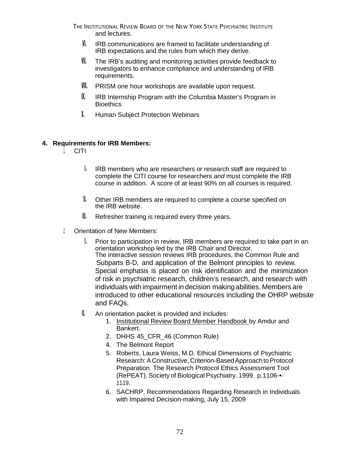- VI. IRB communications are framed to facilitate understanding of IRB expectations and the rules from which they derive.
- VII. The IRB's auditing and monitoring activities provide feedback to investigators to enhance compliance and understanding of IRB requirements.
- VIII. PRISM one hour workshops are available upon request.
- IX. IRB Internship Program with the Columbia Master's Program in **Bioethics**
- X. Human Subject Protection Webinars

#### **4. Requirements for IRB Members:**

- 1. CITI
	- I. IRB members who are researchers or research staff are required to complete the CITI course for researchers *and* must complete the IRB course in addition. A score of at least 90% on all courses is required.
	- II. Other IRB members are required to complete a course specified on the IRB website.
	- $\mathbb{I}$  Refresher training is required every three years.
- 2. Orientation of New Members:
	- I. Prior to participation in review, IRB members are required to take part in an orientation workshop led by the IRB Chair and Director. The interactive session reviews IRB procedures, the Common Rule and Subparts B-D, and application of the Belmont principles to review. Special emphasis is placed on risk identification and the minimization of risk in psychiatric research, children's research, and research with individuals with impairment in decision makingabilities. Members are introduced to other educational resources including the OHRP website and FAQs.
	- $\|$ . An orientation packet is provided and includes:
		- 1. Institutional Review Board Member Handbook by Amdur and Bankert.
		- 2. DHHS 45 CFR 46 (Common Rule)
		- 4. The Belmont Report
		- 5. Roberts, Laura Weiss, M.D. Ethical Dimensions of Psychiatric Research: A Constructive, Criterion-Based Approach to Protocol Preparation. The Research Protocol Ethics Assessment Tool (RePEAT). Society of Biological Psychiatry. 1999. p.1106-•‐ 1119.
		- 6. SACHRP, Recommendations Regarding Research in Individuals with Impaired Decision-making, July 15, 2009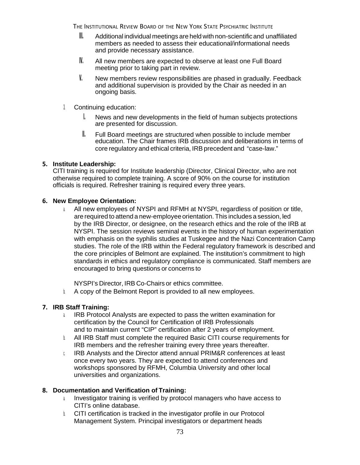THE INSTITUTIONAL REVIEW BOARD OF THE NEW YORK STATE PSYCHIATRIC INSTITUTE

- $\mathbb{II}$ . Additional individual meetings are held with non-scientific and unaffiliated members as needed to assess their educational/informational needs and provide necessary assistance.
- IV. All new members are expected to observe at least one Full Board meeting prior to taking part in review.
- V. New members review responsibilities are phased in gradually. Feedback and additional supervision is provided by the Chair as needed in an ongoing basis.
- 3. Continuing education:
	- $\parallel$  News and new developments in the field of human subjects protections are presented for discussion.
	- $\|$ . Full Board meetings are structured when possible to include member education. The Chair frames IRB discussion and deliberations in terms of core regulatory and ethical criteria, IRB precedent and "case-law."

## **5. Institute Leadership:**

CITI training is required for Institute leadership (Director, Clinical Director, who are not otherwise required to complete training. A score of 90% on the course for institution officials is required. Refresher training is required every three years.

## **6. New Employee Orientation:**

a. All new employees of NYSPI and RFMH at NYSPI, regardless of position or title, are required to attend a new-employee orientation. This includes a session, led by the IRB Director, or designee, on the research ethics and the role of the IRB at NYSPI. The session reviews seminal events in the history of human experimentation with emphasis on the syphilis studies at Tuskegee and the Nazi Concentration Camp studies. The role of the IRB within the Federal regulatory framework is described and the core principles of Belmont are explained. The institution's commitment to high standards in ethics and regulatory compliance is communicated. Staff members are encouraged to bring questions or concerns to

NYSPI's Director, IRB Co‐Chairs or ethics committee.

**A** copy of the Belmont Report is provided to all new employees.

# **7. IRB Staff Training:**

- **a.** IRB Protocol Analysts are expected to pass the written examination for certification by the Council for Certification of IRB Professionals and to maintain current "CIP" certification after 2 years of employment.
- b. All IRB Staff must complete the required Basic CITI course requirements for IRB members and the refresher training every three years thereafter.
- c. IRB Analysts and the Director attend annual PRIM&R conferences at least once every two years. They are expected to attend conferences and workshops sponsored by RFMH, Columbia University and other local universities and organizations.

## **8. Documentation and Verification of Training:**

- a. Investigator training is verified by protocol managers who have access to CITI's online database.
- **L.** CITI certification is tracked in the investigator profile in our Protocol Management System. Principal investigators or department heads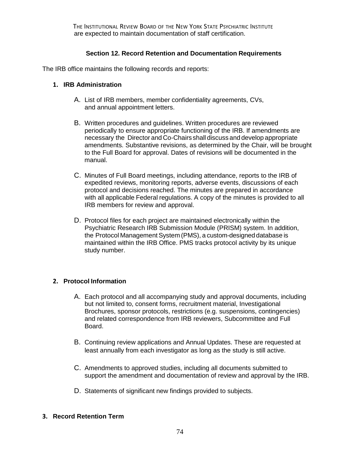THE INSTITUTIONAL REVIEW BOARD OF THE NEW YORK STATE PSYCHIATRIC INSTITUTE are expected to maintain documentation of staff certification.

### **Section 12. Record Retention and Documentation Requirements**

The IRB office maintains the following records and reports:

#### **1. IRB Administration**

- A. List of IRB members, member confidentiality agreements, CVs, and annual appointment letters.
- B. Written procedures and guidelines. Written procedures are reviewed periodically to ensure appropriate functioning of the IRB. If amendments are necessary the Director and Co-Chairs shall discuss and develop appropriate amendments. Substantive revisions, as determined by the Chair, will be brought to the Full Board for approval. Dates of revisions will be documented in the manual.
- C. Minutes of Full Board meetings, including attendance, reports to the IRB of expedited reviews, monitoring reports, adverse events, discussions of each protocol and decisions reached. The minutes are prepared in accordance with all applicable Federal regulations. A copy of the minutes is provided to all IRB members for review and approval.
- D. Protocol files for each project are maintained electronically within the Psychiatric Research IRB Submission Module (PRISM) system. In addition, the Protocol Management System (PMS), a custom-designed database is maintained within the IRB Office. PMS tracks protocol activity by its unique study number.

#### **2. Protocol Information**

- A. Each protocol and all accompanying study and approval documents, including but not limited to, consent forms, recruitment material, Investigational Brochures, sponsor protocols, restrictions (e.g. suspensions, contingencies) and related correspondence from IRB reviewers, Subcommittee and Full Board.
- B. Continuing review applications and Annual Updates. These are requested at least annually from each investigator as long as the study is still active.
- C. Amendments to approved studies, including all documents submitted to support the amendment and documentation of review and approval by the IRB.
- D. Statements of significant new findings provided to subjects.

### **3. Record Retention Term**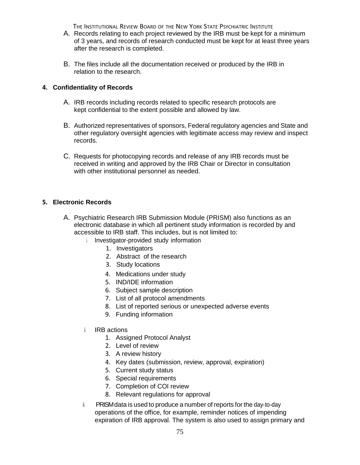THE INSTITUTIONAL REVIEW BOARD OF THE NEW YORK STATE PSYCHIATRIC INSTITUTE

- A. Records relating to each project reviewed by the IRB must be kept for a minimum of 3 years, and records of research conducted must be kept for at least three years after the research is completed.
- B. The files include all the documentation received or produced by the IRB in relation to the research.

## **4. Confidentiality of Records**

- A. IRB records including records related to specific research protocols are kept confidential to the extent possible and allowed by law.
- B. Authorized representatives of sponsors, Federal regulatory agencies and State and other regulatory oversight agencies with legitimate access may review and inspect records.
- C. Requests for photocopying records and release of any IRB records must be received in writing and approved by the IRB Chair or Director in consultation with other institutional personnel as needed.

## **5. Electronic Records**

- A. Psychiatric Research IRB Submission Module (PRISM) also functions as an electronic database in which all pertinent study information is recorded by and accessible to IRB staff. This includes, but is not limited to:
	- i. Investigator-provided study information
		- 1. Investigators
		- 2. Abstract of the research
		- 3. Study locations
		- 4. Medications under study
		- 5. IND/IDE information
		- 6. Subject sample description
		- 7. List of all protocol amendments
		- 8. List of reported serious or unexpected adverse events
		- 9. Funding information
	- ii. IRB actions
		- 1. Assigned Protocol Analyst
		- 2. Level of review
		- 3. A review history
		- 4. Key dates (submission, review, approval, expiration)
		- 5. Current study status
		- 6. Special requirements
		- 7. Completion of COI review
		- 8. Relevant regulations for approval
	- iii. PRISM data is used to produce a number of reports for the day‐to‐day operations of the office, for example, reminder notices of impending expiration of IRB approval. The system is also used to assign primary and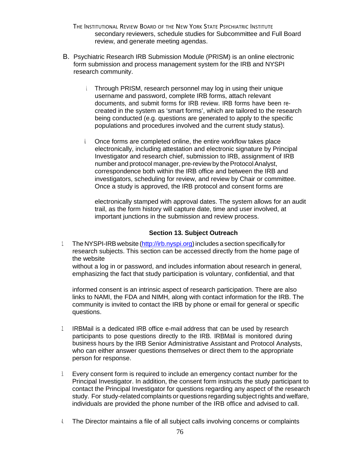THE INSTITUTIONAL REVIEW BOARD OF THE NEW YORK STATE PSYCHIATRIC INSTITUTE secondary reviewers, schedule studies for Subcommittee and Full Board review, and generate meeting agendas.

- B. Psychiatric Research IRB Submission Module (PRISM) is an online electronic form submission and process management system for the IRB and NYSPI research community.
	- Through PRISM, research personnel may log in using their unique username and password, complete IRB forms, attach relevant documents, and submit forms for IRB review. IRB forms have been recreated in the system as 'smart forms', which are tailored to the research being conducted (e.g. questions are generated to apply to the specific populations and procedures involved and the current study status).
	- ii. Once forms are completed online, the entire workflow takes place electronically, including attestation and electronic signature by Principal Investigator and research chief, submission to IRB, assignment of IRB number and protocol manager, pre-review by the Protocol Analyst, correspondence both within the IRB office and between the IRB and investigators, scheduling for review, and review by Chair or committee. Once a study is approved, the IRB protocol and consent forms are

electronically stamped with approval dates. The system allows for an audit trail, as the form history will capture date, time and user involved, at important junctions in the submission and review process.

### **Section 13. Subject Outreach**

1. The NYSPI-IRBwebsite (http://irb.nyspi.org)includes a section specifically for research subjects. This section can be accessed directly from the home page of the website

without a log in or password, and includes information about research in general, emphasizing the fact that study participation is voluntary, confidential, and that

informed consent is an intrinsic aspect of research participation. There are also links to NAMI, the FDA and NIMH, along with contact information for the IRB. The community is invited to contact the IRB by phone or email for general or specific questions.

- 2. IRBMail is a dedicated IRB office e-mail address that can be used by research participants to pose questions directly to the IRB. IRBMail is monitored during business hours by the IRB Senior Administrative Assistant and Protocol Analysts, who can either answer questions themselves or direct them to the appropriate person for response.
- 3. Every consent form is required to include an emergency contact number for the Principal Investigator. In addition, the consent form instructs the study participant to contact the Principal Investigator for questions regarding any aspect of the research study. For study-related complaints or questions regarding subject rights and welfare, individuals are provided the phone number of the IRB office and advised to call.
- 4. The Director maintains a file of all subject calls involving concerns or complaints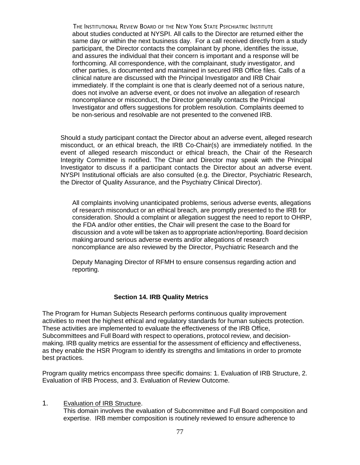THE INSTITUTIONAL REVIEW BOARD OF THE NEW YORK STATE PSYCHIATRIC INSTITUTE about studies conducted at NYSPI. All calls to the Director are returned either the same day or within the next business day. For a call received directly from a study participant, the Director contacts the complainant by phone, identifies the issue, and assures the individual that their concern is important and a response will be forthcoming. All correspondence, with the complainant, study investigator, and other parties, is documented and maintained in secured IRB Office files. Calls of a clinical nature are discussed with the Principal Investigator and IRB Chair immediately. If the complaint is one that is clearly deemed not of a serious nature, does not involve an adverse event, or does not involve an allegation of research noncompliance or misconduct, the Director generally contacts the Principal Investigator and offers suggestions for problem resolution. Complaints deemed to be non-serious and resolvable are not presented to the convened IRB.

Should a study participant contact the Director about an adverse event, alleged research misconduct, or an ethical breach, the IRB Co-Chair(s) are immediately notified. In the event of alleged research misconduct or ethical breach, the Chair of the Research Integrity Committee is notified. The Chair and Director may speak with the Principal Investigator to discuss if a participant contacts the Director about an adverse event. NYSPI Institutional officials are also consulted (e.g. the Director, Psychiatric Research, the Director of Quality Assurance, and the Psychiatry Clinical Director).

All complaints involving unanticipated problems, serious adverse events, allegations of research misconduct or an ethical breach, are promptly presented to the IRB for consideration. Should a complaint or allegation suggest the need to report to OHRP, the FDA and/or other entities, the Chair will present the case to the Board for discussion and a vote will be taken as to appropriate action/reporting. Board decision making around serious adverse events and/or allegations of research noncompliance are also reviewed by the Director, Psychiatric Research and the

Deputy Managing Director of RFMH to ensure consensus regarding action and reporting.

#### **Section 14. IRB Quality Metrics**

The Program for Human Subjects Research performs continuous quality improvement activities to meet the highest ethical and regulatory standards for human subjects protection. These activities are implemented to evaluate the effectiveness of the IRB Office, Subcommittees and Full Board with respect to operations, protocol review, and decisionmaking. IRB quality metrics are essential for the assessment of efficiency and effectiveness, as they enable the HSR Program to identify its strengths and limitations in order to promote best practices.

Program quality metrics encompass three specific domains: 1. Evaluation of IRB Structure, 2. Evaluation of IRB Process, and 3. Evaluation of Review Outcome.

#### 1. Evaluation of IRB Structure.

This domain involves the evaluation of Subcommittee and Full Board composition and expertise. IRB member composition is routinely reviewed to ensure adherence to